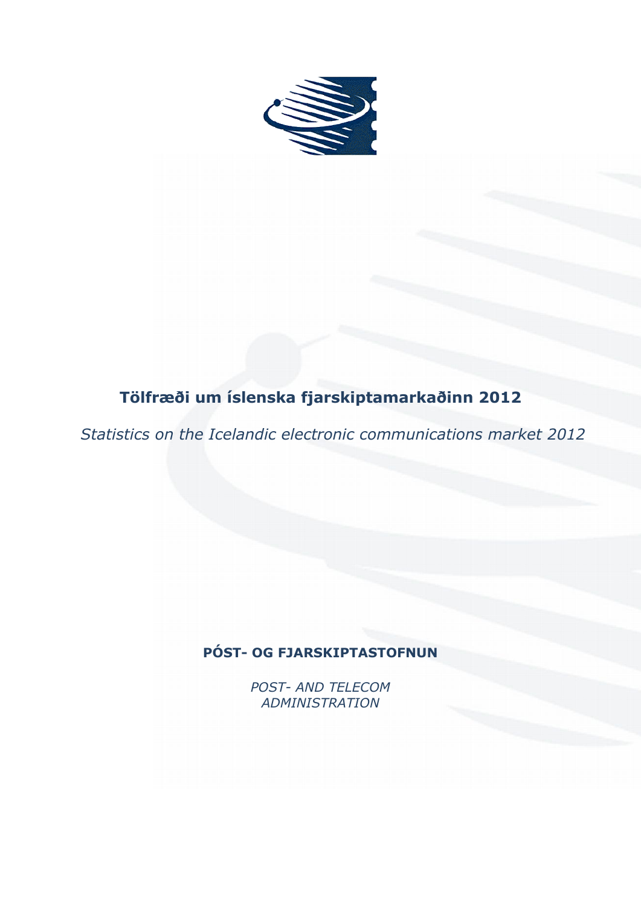

# **Tölfræði um íslenska fjarskiptamarkaðinn 2012**

*Statistics on the Icelandic electronic communications market 2012*

# **PÓST- OG FJARSKIPTASTOFNUN**

*POST- AND TELECOM ADMINISTRATION*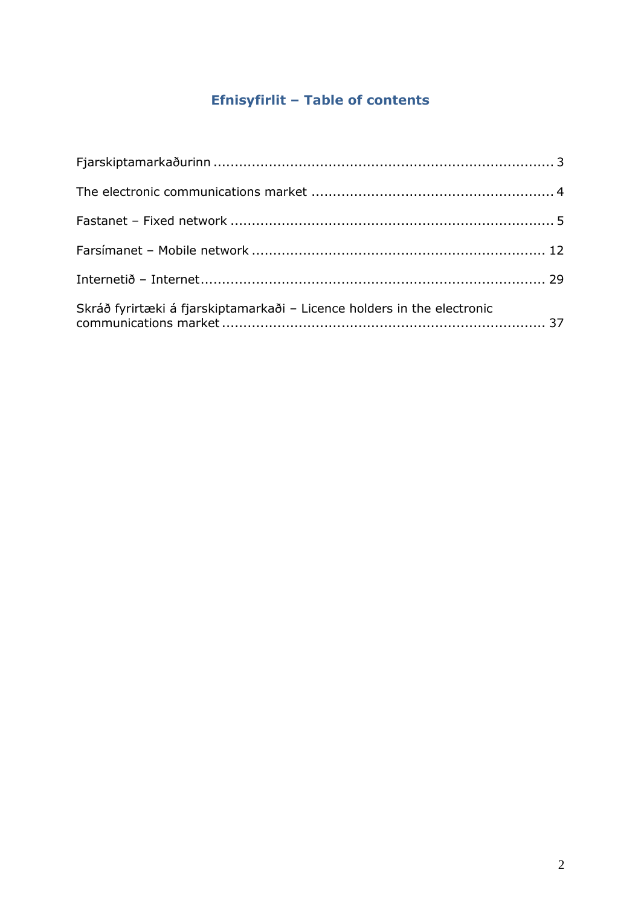# **Efnisyfirlit – Table of contents**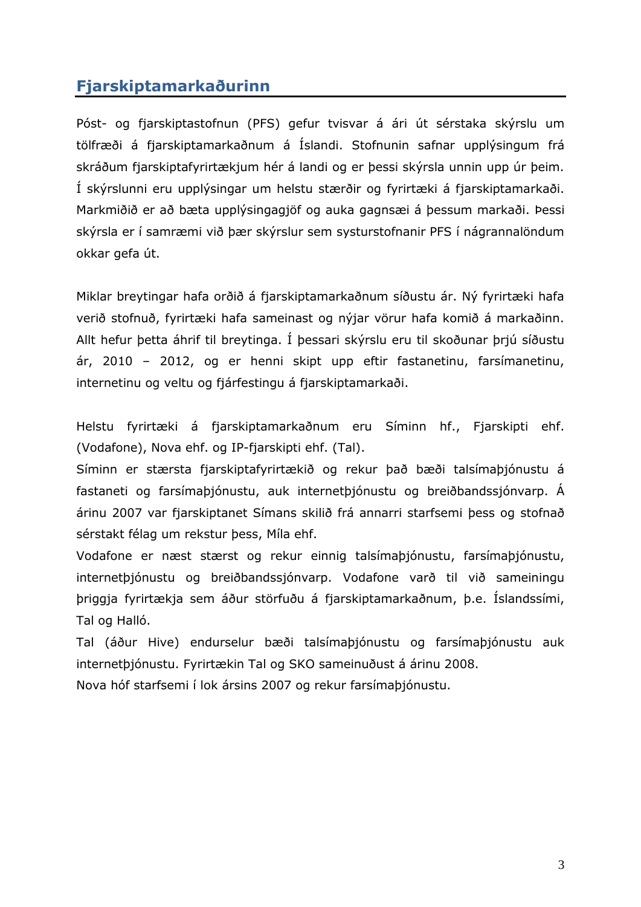# <span id="page-2-0"></span>**Fjarskiptamarkaðurinn**

Póst- og fjarskiptastofnun (PFS) gefur tvisvar á ári út sérstaka skýrslu um tölfræði á fjarskiptamarkaðnum á Íslandi. Stofnunin safnar upplýsingum frá skráðum fjarskiptafyrirtækjum hér á landi og er þessi skýrsla unnin upp úr þeim. Í skýrslunni eru upplýsingar um helstu stærðir og fyrirtæki á fjarskiptamarkaði. Markmiðið er að bæta upplýsingagjöf og auka gagnsæi á þessum markaði. Þessi skýrsla er í samræmi við þær skýrslur sem systurstofnanir PFS í nágrannalöndum okkar gefa út.

Miklar breytingar hafa orðið á fjarskiptamarkaðnum síðustu ár. Ný fyrirtæki hafa verið stofnuð, fyrirtæki hafa sameinast og nýjar vörur hafa komið á markaðinn. Allt hefur þetta áhrif til breytinga. Í þessari skýrslu eru til skoðunar þrjú síðustu ár, 2010 – 2012, og er henni skipt upp eftir fastanetinu, farsímanetinu, internetinu og veltu og fjárfestingu á fjarskiptamarkaði.

Helstu fyrirtæki á fjarskiptamarkaðnum eru Síminn hf., Fjarskipti ehf. (Vodafone), Nova ehf. og IP-fjarskipti ehf. (Tal).

Síminn er stærsta fjarskiptafyrirtækið og rekur það bæði talsímaþjónustu á fastaneti og farsímaþjónustu, auk internetþjónustu og breiðbandssjónvarp. Á árinu 2007 var fjarskiptanet Símans skilið frá annarri starfsemi þess og stofnað sérstakt félag um rekstur þess, Míla ehf.

Vodafone er næst stærst og rekur einnig talsímaþjónustu, farsímaþjónustu, internetþjónustu og breiðbandssjónvarp. Vodafone varð til við sameiningu þriggja fyrirtækja sem áður störfuðu á fjarskiptamarkaðnum, þ.e. Íslandssími, Tal og Halló.

Tal (áður Hive) endurselur bæði talsímaþjónustu og farsímaþjónustu auk internetþjónustu. Fyrirtækin Tal og SKO sameinuðust á árinu 2008.

Nova hóf starfsemi í lok ársins 2007 og rekur farsímaþjónustu.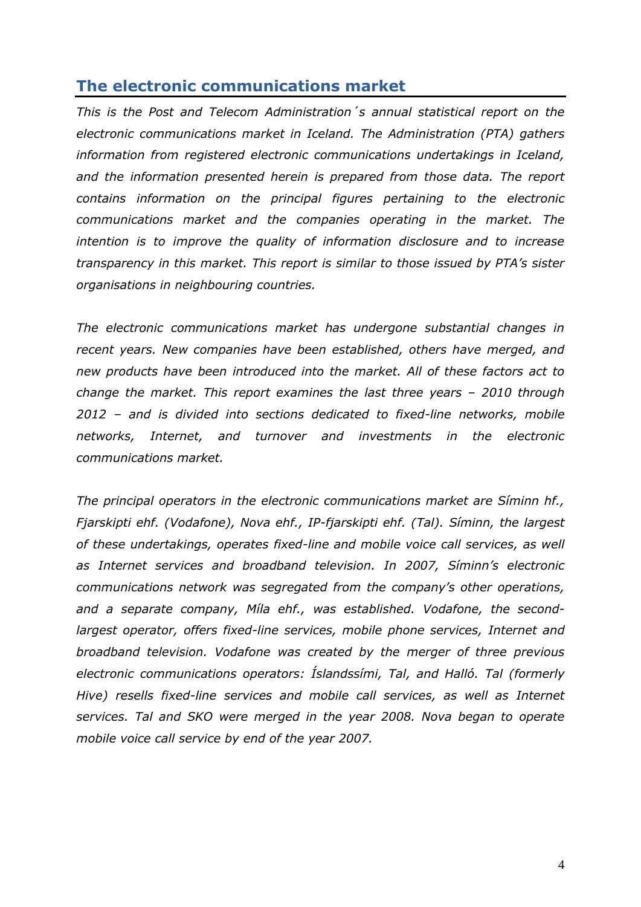# <span id="page-3-0"></span>**The electronic communications market**

*This is the Post and Telecom Administration´s annual statistical report on the electronic communications market in Iceland. The Administration (PTA) gathers information from registered electronic communications undertakings in Iceland,*  and the information presented herein is prepared from those data. The report *contains information on the principal figures pertaining to the electronic communications market and the companies operating in the market. The intention is to improve the quality of information disclosure and to increase transparency in this market. This report is similar to those issued by PTA's sister organisations in neighbouring countries.* 

*The electronic communications market has undergone substantial changes in recent years. New companies have been established, others have merged, and new products have been introduced into the market. All of these factors act to change the market. This report examines the last three years – 2010 through 2012 – and is divided into sections dedicated to fixed-line networks, mobile networks, Internet, and turnover and investments in the electronic communications market.* 

*The principal operators in the electronic communications market are Síminn hf., Fjarskipti ehf. (Vodafone), Nova ehf., IP-fjarskipti ehf. (Tal). Síminn, the largest of these undertakings, operates fixed-line and mobile voice call services, as well as Internet services and broadband television. In 2007, Síminn's electronic communications network was segregated from the company's other operations, and a separate company, Míla ehf., was established. Vodafone, the secondlargest operator, offers fixed-line services, mobile phone services, Internet and broadband television. Vodafone was created by the merger of three previous electronic communications operators: Íslandssími, Tal, and Halló. Tal (formerly Hive) resells fixed-line services and mobile call services, as well as Internet services. Tal and SKO were merged in the year 2008. Nova began to operate mobile voice call service by end of the year 2007.*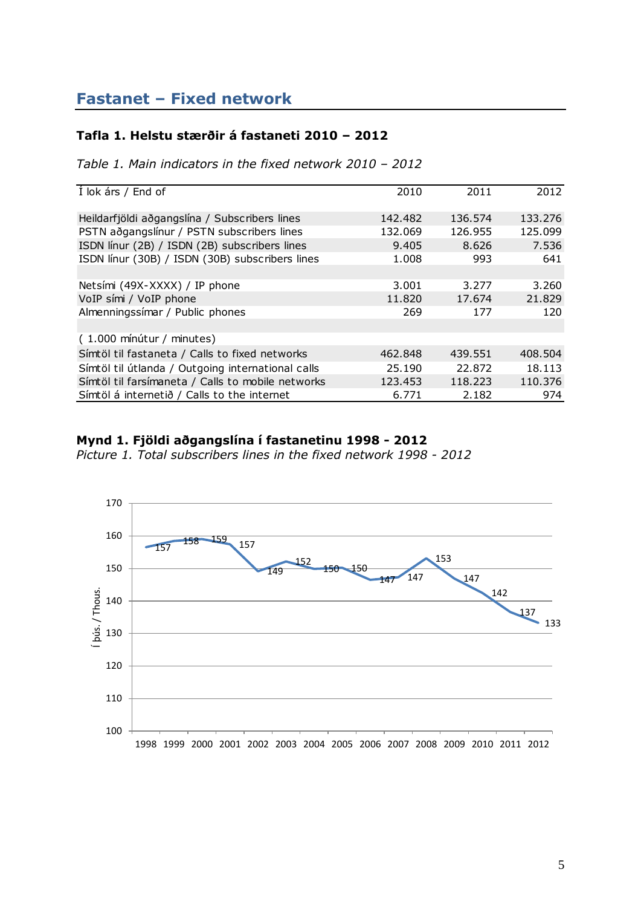#### <span id="page-4-0"></span>**Tafla 1. Helstu stærðir á fastaneti 2010 – 2012**

*Table 1. Main indicators in the fixed network 2010 – 2012*

| Í lok árs / End of                                | 2010    | 2011    | 2012    |
|---------------------------------------------------|---------|---------|---------|
| Heildarfjöldi aðgangslína / Subscribers lines     | 142.482 | 136.574 | 133.276 |
| PSTN aðgangslínur / PSTN subscribers lines        | 132.069 | 126.955 | 125.099 |
| ISDN línur (2B) / ISDN (2B) subscribers lines     | 9.405   | 8.626   | 7.536   |
| ISDN línur (30B) / ISDN (30B) subscribers lines   | 1.008   | 993     | 641     |
|                                                   |         |         |         |
| Netsími (49X-XXXX) / IP phone                     | 3.001   | 3.277   | 3.260   |
| VoIP sími / VoIP phone                            | 11.820  | 17.674  | 21.829  |
| Almenningssimar / Public phones                   | 269     | 177     | 120     |
|                                                   |         |         |         |
| (1.000 mínútur / minutes)                         |         |         |         |
| Símtöl til fastaneta / Calls to fixed networks    | 462.848 | 439.551 | 408.504 |
| Símtöl til útlanda / Outgoing international calls | 25.190  | 22.872  | 18.113  |
| Símtöl til farsímaneta / Calls to mobile networks | 123.453 | 118.223 | 110.376 |
| Símtöl á internetið / Calls to the internet       | 6.771   | 2.182   | 974     |

### **Mynd 1. Fjöldi aðgangslína í fastanetinu 1998 - 2012**

*Picture 1. Total subscribers lines in the fixed network 1998 - 2012*

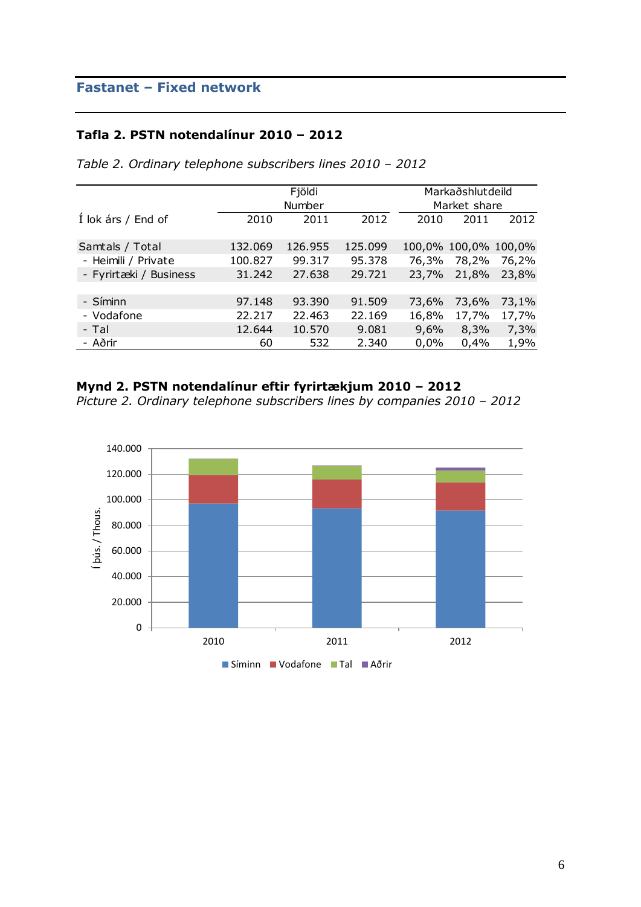#### **Tafla 2. PSTN notendalínur 2010 – 2012**

|                        |         | Fjöldi  |         | Markaðshlutdeild |                      |       |
|------------------------|---------|---------|---------|------------------|----------------------|-------|
|                        |         | Number  |         |                  | Market share         |       |
| Í lok árs / End of     | 2010    | 2011    | 2012    | 2010             | 2011                 | 2012  |
| Samtals / Total        | 132.069 | 126.955 | 125.099 |                  | 100,0% 100,0% 100,0% |       |
| - Heimili / Private    | 100.827 | 99.317  | 95.378  | 76,3%            | 78,2%                | 76,2% |
| - Fyrirtæki / Business | 31.242  | 27.638  | 29.721  | 23,7%            | 21,8%                | 23,8% |
|                        |         |         |         |                  |                      |       |
| - Síminn               | 97.148  | 93.390  | 91.509  | 73,6%            | 73,6%                | 73,1% |
| - Vodafone             | 22.217  | 22.463  | 22.169  | 16,8%            | 17,7%                | 17,7% |
| - Tal                  | 12.644  | 10.570  | 9.081   | 9,6%             | 8,3%                 | 7,3%  |
| - Aðrir                | 60      | 532     | 2.340   | 0,0%             | 0,4%                 | 1,9%  |

*Table 2. Ordinary telephone subscribers lines 2010 – 2012*

## **Mynd 2. PSTN notendalínur eftir fyrirtækjum 2010 – 2012**

*Picture 2. Ordinary telephone subscribers lines by companies 2010 – 2012*

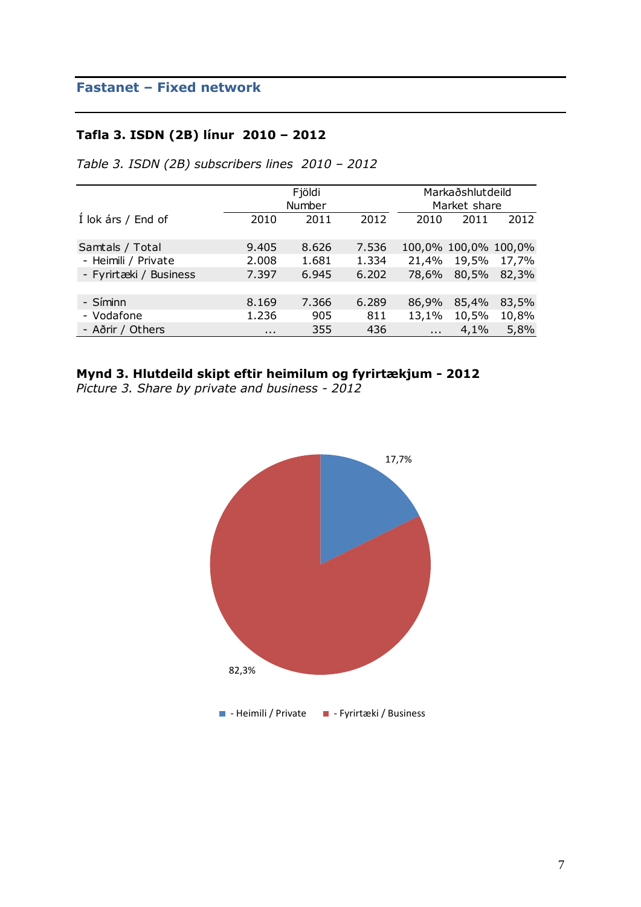### **Tafla 3. ISDN (2B) línur 2010 – 2012**

*Table 3. ISDN (2B) subscribers lines 2010 – 2012*

|                        |          |        | Markaðshlutdeild |                   |              |                      |
|------------------------|----------|--------|------------------|-------------------|--------------|----------------------|
|                        |          | Number |                  |                   | Market share |                      |
| Í lok árs / End of     | 2010     | 2011   | 2012             | 2010              | 2011         | 2012                 |
| Samtals / Total        | 9.405    | 8.626  | 7.536            |                   |              | 100,0% 100,0% 100,0% |
| - Heimili / Private    | 2.008    | 1.681  | 1.334            | 21,4%             | 19,5%        | 17,7%                |
| - Fyrirtæki / Business | 7.397    | 6.945  | 6.202            | 78,6%             | 80,5%        | 82,3%                |
|                        |          |        |                  |                   |              |                      |
| - Síminn               | 8.169    | 7.366  | 6.289            | 86,9%             | 85,4%        | 83,5%                |
| - Vodafone             | 1.236    | 905    | 811              | 13,1%             | 10,5%        | 10,8%                |
| - Aðrir / Others       | $\cdots$ | 355    | 436              | $\sim$ 100 $\sim$ | 4,1%         | 5,8%                 |

# **Mynd 3. Hlutdeild skipt eftir heimilum og fyrirtækjum - 2012**

*Picture 3. Share by private and business - 2012*

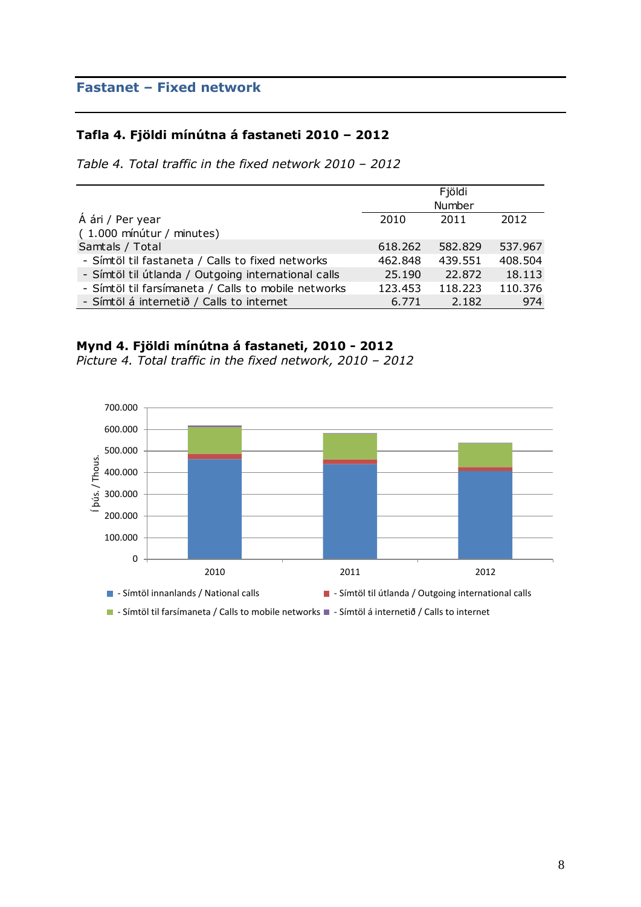### **Tafla 4. Fjöldi mínútna á fastaneti 2010 – 2012**

*Table 4. Total traffic in the fixed network 2010 – 2012*

|                                                     |         | Fjöldi  |         |
|-----------------------------------------------------|---------|---------|---------|
|                                                     |         | Number  |         |
| Á ári / Per year                                    | 2010    | 2011    | 2012    |
| (1.000 mínútur / minutes)                           |         |         |         |
| Samtals / Total                                     | 618.262 | 582.829 | 537.967 |
| - Símtöl til fastaneta / Calls to fixed networks    | 462.848 | 439.551 | 408.504 |
| - Símtöl til útlanda / Outgoing international calls | 25,190  | 22,872  | 18.113  |
| - Símtöl til farsímaneta / Calls to mobile networks | 123.453 | 118.223 | 110.376 |
| - Símtöl á internetið / Calls to internet           | 6.771   | 2.182   | 974     |

#### **Mynd 4. Fjöldi mínútna á fastaneti, 2010 - 2012**

*Picture 4. Total traffic in the fixed network, 2010 – 2012*

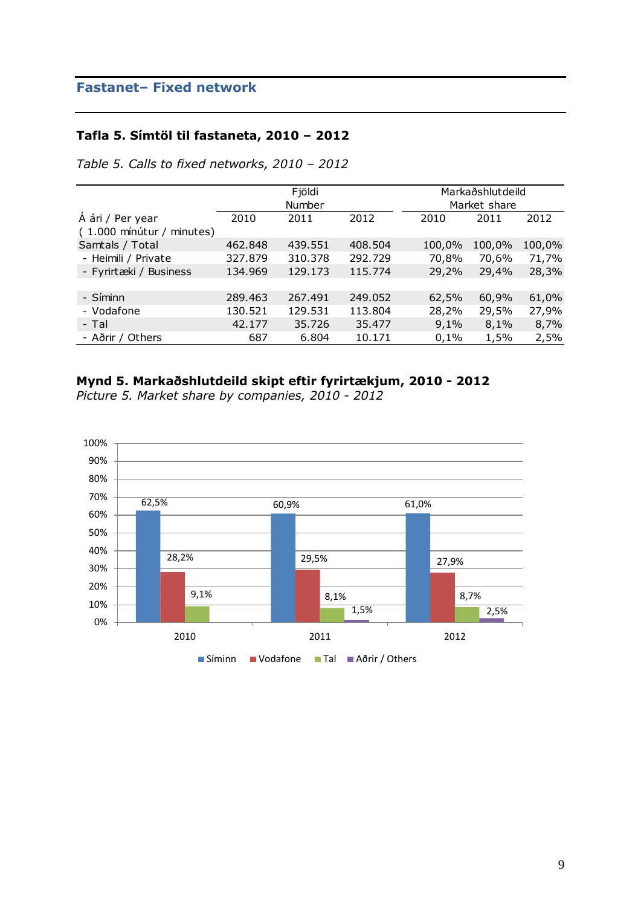# **Tafla 5. Símtöl til fastaneta, 2010 – 2012**

*Table 5. Calls to fixed networks, 2010 – 2012*

|                           |         | Fjöldi  |         |        | Markaðshlutdeild |        |
|---------------------------|---------|---------|---------|--------|------------------|--------|
|                           |         | Number  |         |        | Market share     |        |
| Á ári / Per year          | 2010    | 2011    | 2012    | 2010   | 2011             | 2012   |
| (1.000 mínútur / minutes) |         |         |         |        |                  |        |
| Samtals / Total           | 462.848 | 439.551 | 408.504 | 100,0% | 100,0%           | 100,0% |
| - Heimili / Private       | 327.879 | 310.378 | 292.729 | 70,8%  | 70,6%            | 71,7%  |
| - Fyrirtæki / Business    | 134.969 | 129.173 | 115.774 | 29,2%  | 29,4%            | 28,3%  |
|                           |         |         |         |        |                  |        |
| - Síminn                  | 289.463 | 267.491 | 249.052 | 62,5%  | 60,9%            | 61,0%  |
| - Vodafone                | 130.521 | 129.531 | 113.804 | 28,2%  | 29,5%            | 27,9%  |
| - Tal                     | 42.177  | 35.726  | 35,477  | 9,1%   | 8,1%             | 8,7%   |
| - Aðrir / Others          | 687     | 6.804   | 10.171  | 0,1%   | 1,5%             | 2,5%   |

### **Mynd 5. Markaðshlutdeild skipt eftir fyrirtækjum, 2010 - 2012**

*Picture 5. Market share by companies, 2010 - 2012*

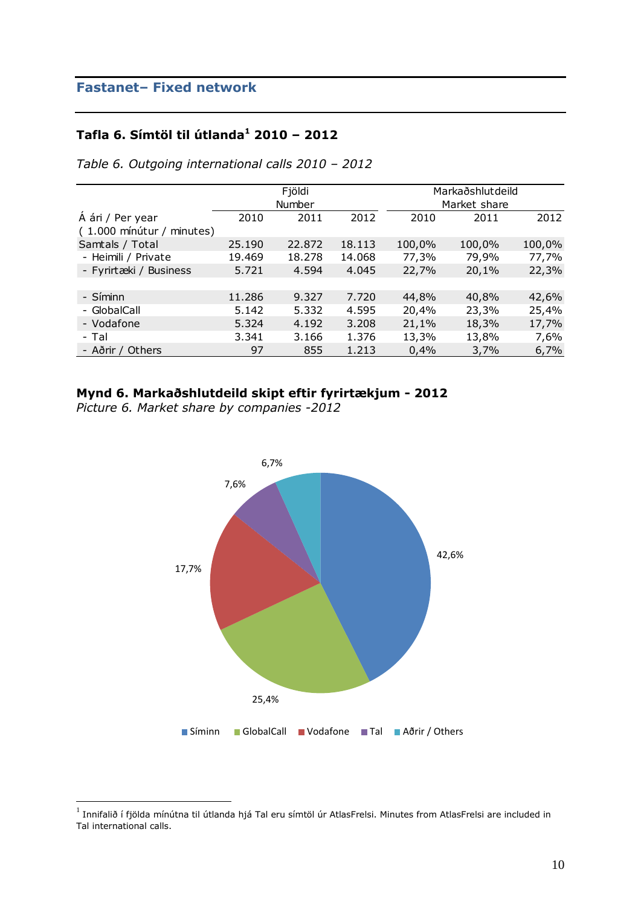### **Tafla 6. Símtöl til útlanda<sup>1</sup> 2010 – 2012**

|                                               |        | Fjöldi<br>Number |        |        | Markaðshlutdeild<br>Market share |        |
|-----------------------------------------------|--------|------------------|--------|--------|----------------------------------|--------|
| Á ári / Per year<br>(1.000 mínútur / minutes) | 2010   | 2011             | 2012   | 2010   | 2011                             | 2012   |
| Samtals / Total                               | 25,190 | 22.872           | 18.113 | 100,0% | 100,0%                           | 100,0% |
| - Heimili / Private                           | 19.469 | 18.278           | 14.068 | 77,3%  | 79,9%                            | 77,7%  |
| - Fyrirtæki / Business                        | 5.721  | 4.594            | 4.045  | 22,7%  | 20,1%                            | 22,3%  |
| - Síminn                                      | 11.286 | 9.327            | 7.720  | 44,8%  | 40,8%                            | 42,6%  |
| - GlobalCall                                  | 5.142  | 5.332            | 4.595  | 20,4%  | 23,3%                            | 25,4%  |
| - Vodafone                                    | 5.324  | 4.192            | 3.208  | 21,1%  | 18,3%                            | 17,7%  |
| - Tal                                         | 3.341  | 3.166            | 1.376  | 13,3%  | 13,8%                            | 7,6%   |
| - Aðrir / Others                              | 97     | 855              | 1.213  | 0,4%   | 3,7%                             | 6,7%   |

*Table 6. Outgoing international calls 2010 – 2012*

### **Mynd 6. Markaðshlutdeild skipt eftir fyrirtækjum - 2012**

*Picture 6. Market share by companies -2012*



 $^{\rm 1}$  Innifalið í fjölda mínútna til útlanda hjá Tal eru símtöl úr AtlasFrelsi. Minutes from AtlasFrelsi are included in Tal international calls.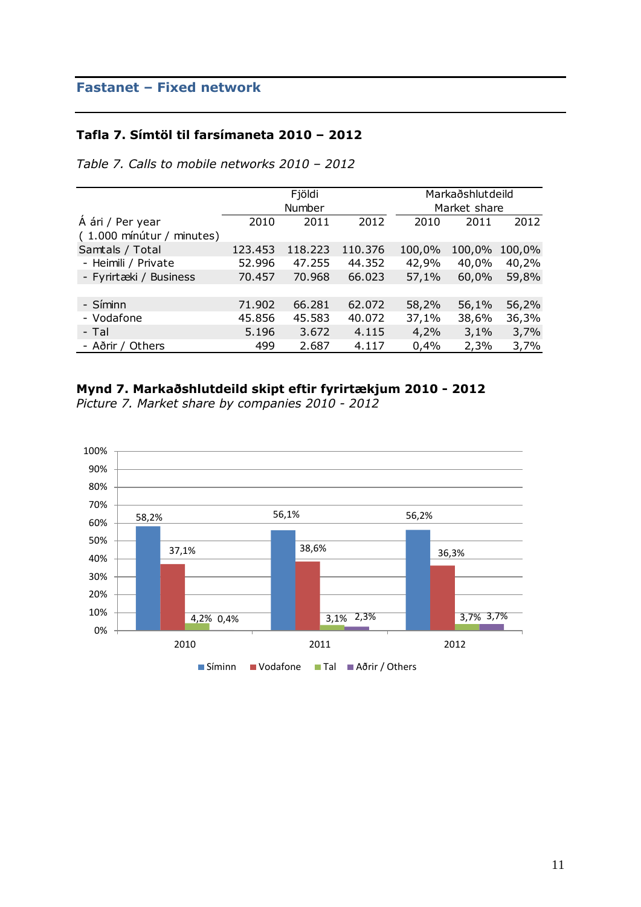#### **Tafla 7. Símtöl til farsímaneta 2010 – 2012**

*Table 7. Calls to mobile networks 2010 – 2012*

|                           |         | Fjöldi  |         |        | Markaðshlutdeild |        |
|---------------------------|---------|---------|---------|--------|------------------|--------|
|                           |         | Number  |         |        | Market share     |        |
| Á ári / Per year          | 2010    | 2011    | 2012    | 2010   | 2011             | 2012   |
| (1.000 mínútur / minutes) |         |         |         |        |                  |        |
| Samtals / Total           | 123.453 | 118.223 | 110.376 | 100,0% | 100,0%           | 100,0% |
| - Heimili / Private       | 52.996  | 47.255  | 44.352  | 42,9%  | 40,0%            | 40,2%  |
| - Fyrirtæki / Business    | 70.457  | 70.968  | 66.023  | 57,1%  | 60,0%            | 59,8%  |
|                           |         |         |         |        |                  |        |
| - Síminn                  | 71.902  | 66.281  | 62.072  | 58,2%  | 56,1%            | 56,2%  |
| - Vodafone                | 45.856  | 45.583  | 40.072  | 37,1%  | 38,6%            | 36,3%  |
| - Tal                     | 5.196   | 3.672   | 4.115   | 4,2%   | 3,1%             | 3,7%   |
| - Aðrir / Others          | 499     | 2.687   | 4.117   | 0,4%   | 2,3%             | 3,7%   |

## **Mynd 7. Markaðshlutdeild skipt eftir fyrirtækjum 2010 - 2012**

*Picture 7. Market share by companies 2010 - 2012*

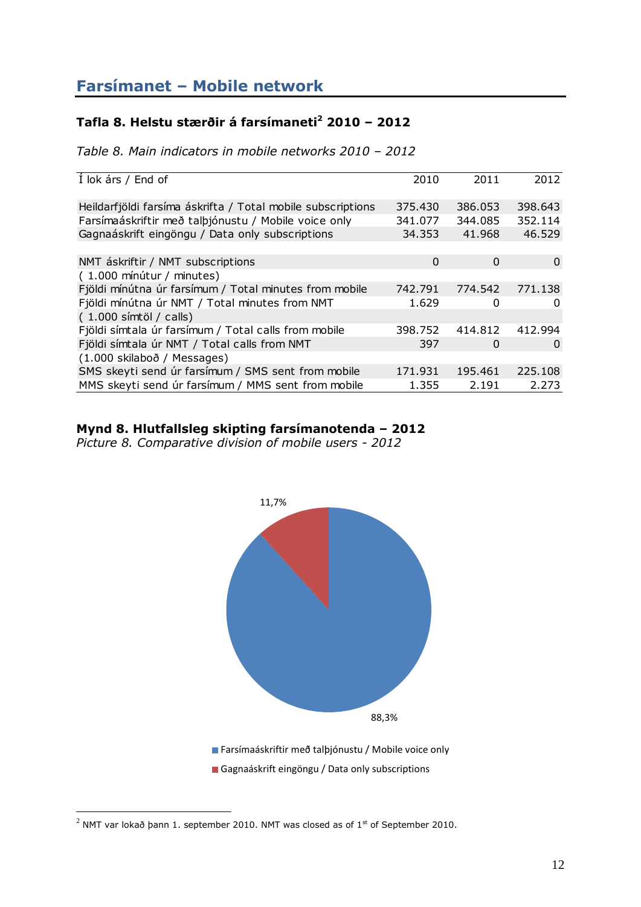## <span id="page-11-0"></span>**Tafla 8. Helstu stærðir á farsímaneti<sup>2</sup> 2010 – 2012**

*Table 8. Main indicators in mobile networks 2010 – 2012*

| Í lok árs / End of                                          | 2010    | 2011    | 2012     |
|-------------------------------------------------------------|---------|---------|----------|
|                                                             |         |         |          |
| Heildarfjöldi farsíma áskrifta / Total mobile subscriptions | 375.430 | 386.053 | 398.643  |
| Farsímaáskriftir með talþjónustu / Mobile voice only        | 341.077 | 344.085 | 352.114  |
| Gagnaáskrift eingöngu / Data only subscriptions             | 34.353  | 41.968  | 46.529   |
|                                                             |         |         |          |
| NMT áskriftir / NMT subscriptions                           | 0       | 0       | $\Omega$ |
| (1.000 mínútur / minutes)                                   |         |         |          |
| Fjöldi mínútna úr farsímum / Total minutes from mobile      | 742.791 | 774.542 | 771.138  |
| Fjöldi mínútna úr NMT / Total minutes from NMT              | 1.629   | 0       | 0        |
| $(1.000 \text{ s/mtöl} / \text{ calls})$                    |         |         |          |
| Fjöldi símtala úr farsímum / Total calls from mobile        | 398.752 | 414.812 | 412.994  |
| Fjöldi símtala úr NMT / Total calls from NMT                | 397     | 0       | $\Omega$ |
| (1.000 skilaboð / Messages)                                 |         |         |          |
| SMS skeyti send úr farsímum / SMS sent from mobile          | 171.931 | 195.461 | 225.108  |
| MMS skeyti send úr farsímum / MMS sent from mobile          | 1.355   | 2.191   | 2.273    |

## **Mynd 8. Hlutfallsleg skipting farsímanotenda – 2012**

*Picture 8. Comparative division of mobile users - 2012*



Farsímaáskriftir með talþjónustu / Mobile voice only Gagnaáskrift eingöngu / Data only subscriptions

 $^2$  NMT var lokað þann 1. september 2010. NMT was closed as of 1st of September 2010.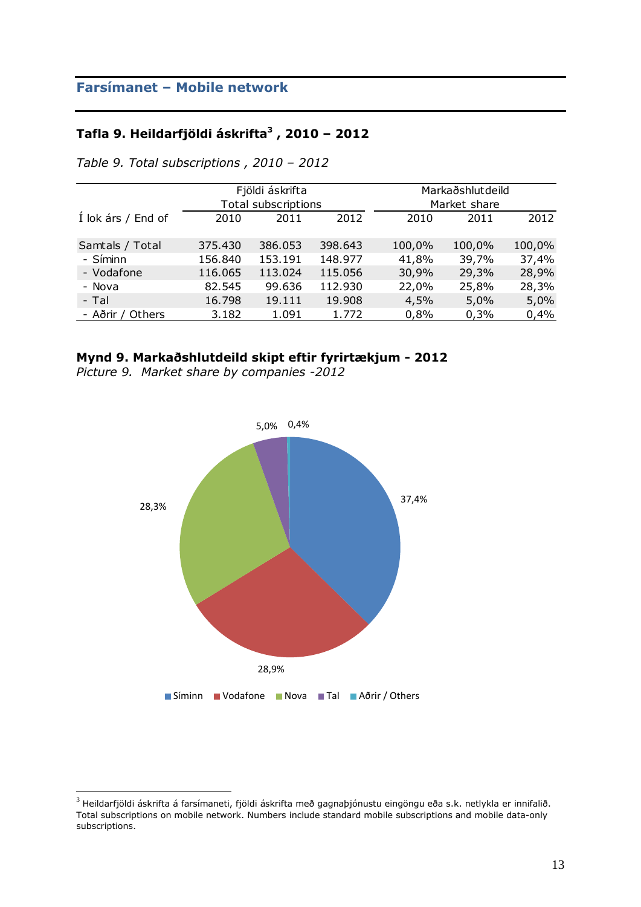### **Tafla 9. Heildarfjöldi áskrifta<sup>3</sup> , 2010 – 2012**

|                    |         | Fjöldi áskrifta<br>Total subscriptions |         |        | Markaðshlutdeild<br>Market share |        |
|--------------------|---------|----------------------------------------|---------|--------|----------------------------------|--------|
| Í lok árs / End of | 2010    | 2011                                   | 2012    | 2010   | 2011                             | 2012   |
| Samtals / Total    | 375.430 | 386.053                                | 398.643 | 100,0% | 100,0%                           | 100,0% |
| - Síminn           | 156.840 | 153.191                                | 148.977 | 41,8%  | 39,7%                            | 37,4%  |
| - Vodafone         | 116.065 | 113.024                                | 115.056 | 30,9%  | 29,3%                            | 28,9%  |
| - Nova             | 82.545  | 99.636                                 | 112.930 | 22,0%  | 25,8%                            | 28,3%  |
| - Tal              | 16.798  | 19.111                                 | 19.908  | 4,5%   | 5,0%                             | 5,0%   |
| - Aðrir / Others   | 3.182   | 1.091                                  | 1.772   | 0,8%   | 0,3%                             | 0,4%   |

*Table 9. Total subscriptions , 2010 – 2012*

### **Mynd 9. Markaðshlutdeild skipt eftir fyrirtækjum - 2012**

*Picture 9. Market share by companies -2012*



 $^3$  Heildarfjöldi áskrifta á farsímaneti, fjöldi áskrifta með gagnaþjónustu eingöngu eða s.k. netlykla er innifalið. Total subscriptions on mobile network. Numbers include standard mobile subscriptions and mobile data-only subscriptions.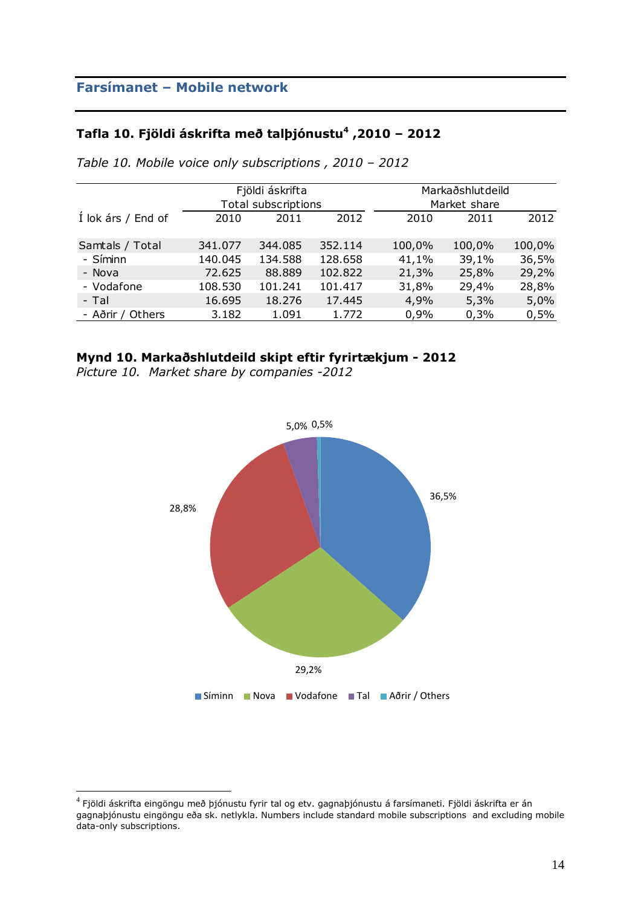## **Tafla 10. Fjöldi áskrifta með talþjónustu<sup>4</sup> ,2010 – 2012**

|                    |         | Fjöldi áskrifta<br>Total subscriptions |         |        | Markaðshlutdeild<br>Market share |        |
|--------------------|---------|----------------------------------------|---------|--------|----------------------------------|--------|
| Í lok árs / End of | 2010    | 2011                                   | 2012    | 2010   | 2011                             | 2012   |
| Samtals / Total    | 341.077 | 344.085                                | 352.114 | 100,0% | 100,0%                           | 100,0% |
| - Síminn           | 140.045 | 134.588                                | 128.658 | 41,1%  | 39,1%                            | 36,5%  |
| - Nova             | 72.625  | 88.889                                 | 102.822 | 21,3%  | 25,8%                            | 29,2%  |
| - Vodafone         | 108.530 | 101.241                                | 101.417 | 31,8%  | 29,4%                            | 28,8%  |
| - Tal              | 16.695  | 18.276                                 | 17.445  | 4,9%   | 5,3%                             | 5,0%   |
| - Aðrir / Others   | 3.182   | 1.091                                  | 1.772   | 0,9%   | 0,3%                             | 0,5%   |

*Table 10. Mobile voice only subscriptions , 2010 – 2012*

### **Mynd 10. Markaðshlutdeild skipt eftir fyrirtækjum - 2012**

*Picture 10. Market share by companies -2012*



 $^4$  Fjöldi áskrifta eingöngu með þjónustu fyrir tal og etv. gagnaþjónustu á farsímaneti. Fjöldi áskrifta er án gagnaþjónustu eingöngu eða sk. netlykla. Numbers include standard mobile subscriptions and excluding mobile data-only subscriptions.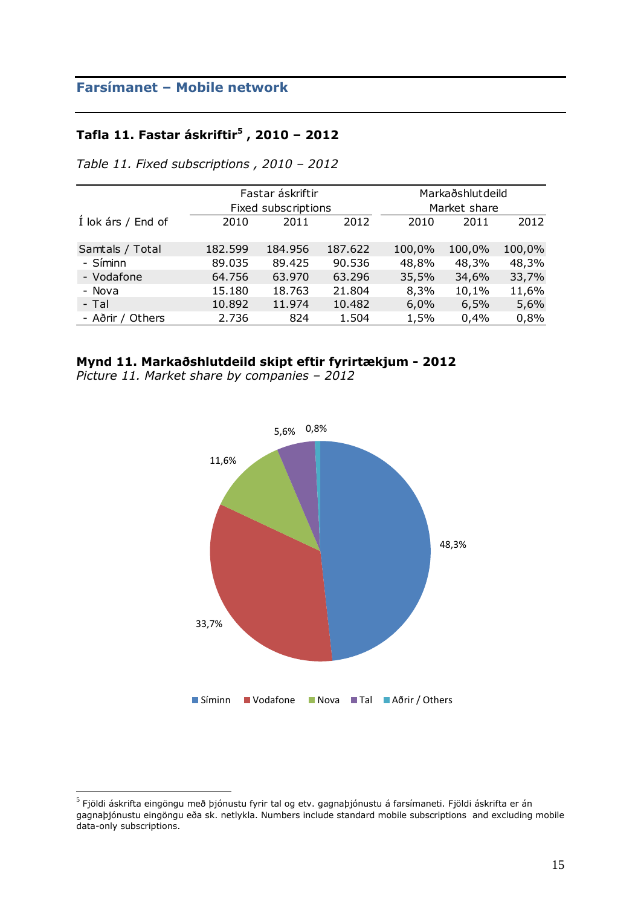#### **Tafla 11. Fastar áskriftir<sup>5</sup> , 2010 – 2012**

|                    |         | Fastar áskriftir    |         |        | Markaðshlutdeild |        |
|--------------------|---------|---------------------|---------|--------|------------------|--------|
|                    |         | Fixed subscriptions |         |        | Market share     |        |
| Í lok árs / End of | 2010    | 2011                | 2012    | 2010   | 2011             | 2012   |
| Samtals / Total    | 182.599 | 184.956             | 187.622 | 100,0% | 100,0%           | 100,0% |
| - Síminn           | 89.035  | 89.425              | 90.536  | 48,8%  | 48,3%            | 48,3%  |
| - Vodafone         | 64.756  | 63.970              | 63.296  | 35,5%  | 34,6%            | 33,7%  |
| - Nova             | 15.180  | 18.763              | 21.804  | 8,3%   | 10,1%            | 11,6%  |
| - Tal              | 10.892  | 11.974              | 10.482  | 6,0%   | 6,5%             | 5,6%   |
| - Aðrir / Others   | 2.736   | 824                 | 1.504   | 1,5%   | 0,4%             | 0,8%   |

*Table 11. Fixed subscriptions , 2010 – 2012*

### **Mynd 11. Markaðshlutdeild skipt eftir fyrirtækjum - 2012**

*Picture 11. Market share by companies – 2012*



 $^5$  Fjöldi áskrifta eingöngu með þjónustu fyrir tal og etv. gagnaþjónustu á farsímaneti. Fjöldi áskrifta er án $\,$ gagnaþjónustu eingöngu eða sk. netlykla. Numbers include standard mobile subscriptions and excluding mobile data-only subscriptions.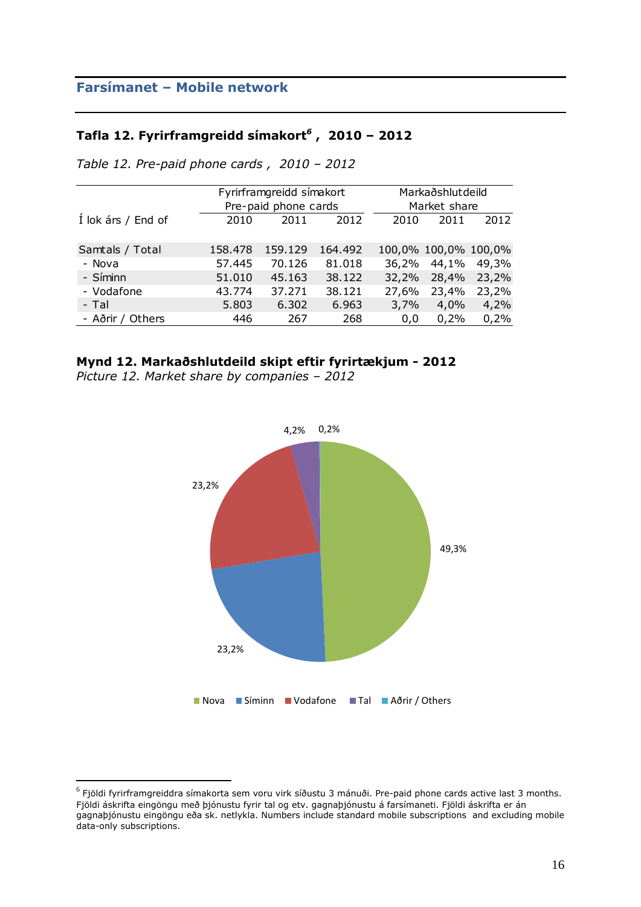#### **Tafla 12. Fyrirframgreidd símakort***<sup>6</sup>* **, 2010 – 2012**

|                    |         | Fyrirframgreidd símakort |         |       | Markaðshlutdeild     |       |  |
|--------------------|---------|--------------------------|---------|-------|----------------------|-------|--|
|                    |         | Pre-paid phone cards     |         |       | Market share         |       |  |
| Í lok árs / End of | 2010    | 2011                     | 2012    | 2010  | 2011                 | 2012  |  |
|                    |         |                          |         |       |                      |       |  |
| Samtals / Total    | 158.478 | 159.129                  | 164.492 |       | 100,0% 100,0% 100,0% |       |  |
| - Nova             | 57.445  | 70.126                   | 81.018  | 36,2% | 44,1%                | 49,3% |  |
| - Síminn           | 51.010  | 45.163                   | 38.122  | 32,2% | 28,4%                | 23,2% |  |
| - Vodafone         | 43.774  | 37.271                   | 38.121  | 27,6% | 23,4%                | 23,2% |  |
| - Tal              | 5.803   | 6.302                    | 6.963   | 3,7%  | 4,0%                 | 4,2%  |  |
| - Aðrir / Others   | 446     | 267                      | 268     | 0,0   | 0,2%                 | 0,2%  |  |

*Table 12. Pre-paid phone cards , 2010 – 2012*

#### **Mynd 12. Markaðshlutdeild skipt eftir fyrirtækjum - 2012**

*Picture 12. Market share by companies – 2012* 



 $^6$  Fjöldi fyrirframgreiddra símakorta sem voru virk síðustu 3 mánuði. Pre-paid phone cards active last 3 months. Fjöldi áskrifta eingöngu með þjónustu fyrir tal og etv. gagnaþjónustu á farsímaneti. Fjöldi áskrifta er án gagnaþjónustu eingöngu eða sk. netlykla. Numbers include standard mobile subscriptions and excluding mobile data-only subscriptions.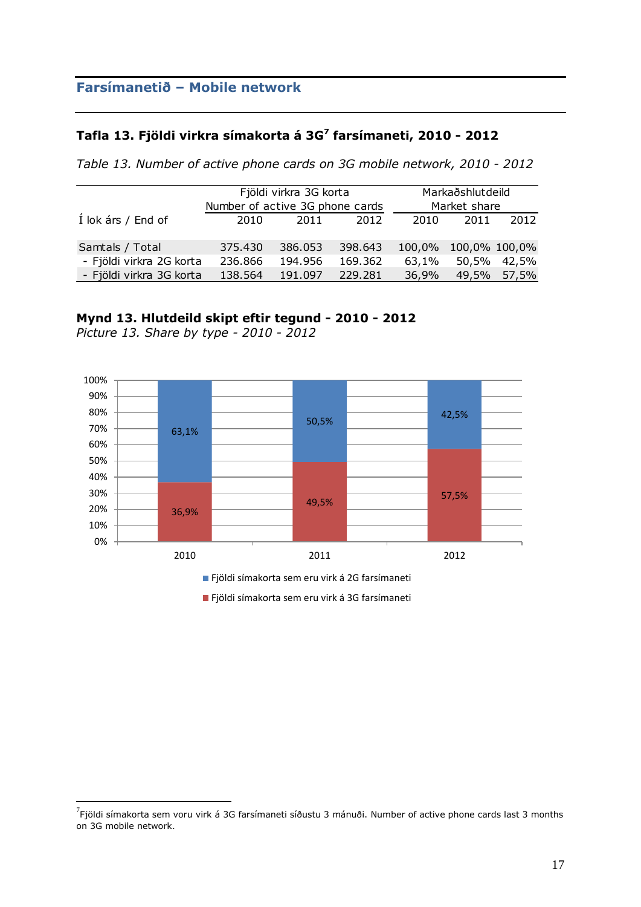### **Tafla 13. Fjöldi virkra símakorta á 3G<sup>7</sup> farsímaneti, 2010 - 2012**

*Table 13. Number of active phone cards on 3G mobile network, 2010 - 2012*

|                          |                                 | Fjöldi virkra 3G korta |         | Markaðshlutdeild |       |               |
|--------------------------|---------------------------------|------------------------|---------|------------------|-------|---------------|
|                          | Number of active 3G phone cards |                        |         | Market share     |       |               |
| Í lok árs / End of       | 2010                            | 2011                   | 2012    | 2010             | 2011  | 2012          |
| Samtals / Total          | 375.430                         | 386.053                | 398.643 | 100,0%           |       | 100,0% 100,0% |
| - Fjöldi virkra 2G korta | 236.866                         | 194.956                | 169.362 | 63,1%            | 50,5% | 42,5%         |
| - Fjöldi virkra 3G korta | 138.564                         | 191.097                | 229.281 | 36,9%            | 49,5% | 57,5%         |

#### **Mynd 13. Hlutdeild skipt eftir tegund - 2010 - 2012**



*Picture 13. Share by type - 2010 - 2012* 

 $\overline{a}$ 

Fjöldi símakorta sem eru virk á 3G farsímaneti

 $^7$ Fjöldi símakorta sem voru virk á 3G farsímaneti síðustu 3 mánuði. Number of active phone cards last 3 months on 3G mobile network.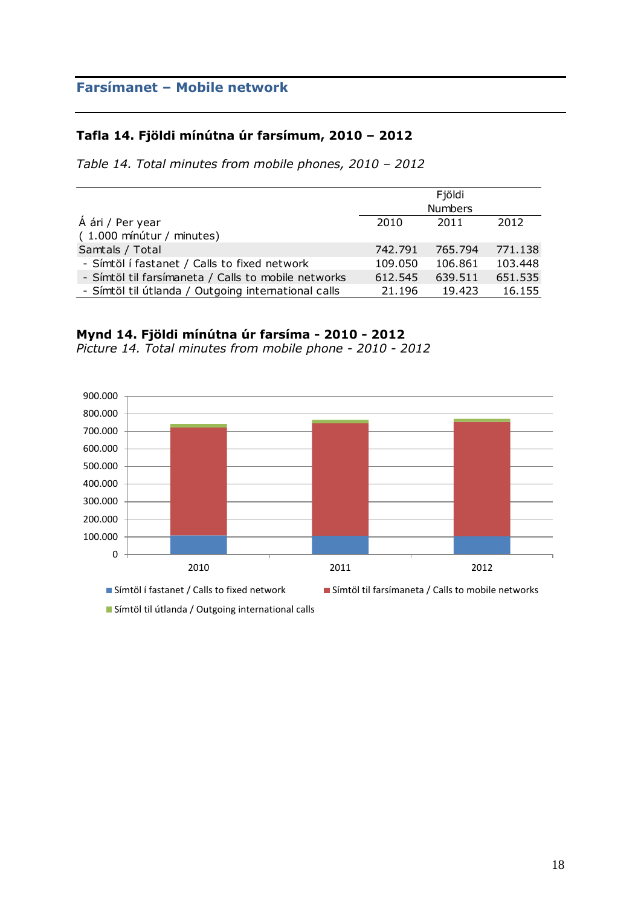### **Tafla 14. Fjöldi mínútna úr farsímum, 2010 – 2012**

*Table 14. Total minutes from mobile phones, 2010 – 2012*

|                                                     |                | Fjöldi  |         |  |
|-----------------------------------------------------|----------------|---------|---------|--|
|                                                     | <b>Numbers</b> |         |         |  |
| Á ári / Per year                                    | 2010           | 2011    | 2012    |  |
| (1.000 mínútur / minutes)                           |                |         |         |  |
| Samtals / Total                                     | 742.791        | 765.794 | 771.138 |  |
| - Símtöl í fastanet / Calls to fixed network        | 109.050        | 106.861 | 103.448 |  |
| - Símtöl til farsímaneta / Calls to mobile networks | 612.545        | 639.511 | 651.535 |  |
| - Símtöl til útlanda / Outgoing international calls | 21.196         | 19.423  | 16.155  |  |

#### **Mynd 14. Fjöldi mínútna úr farsíma - 2010 - 2012**

*Picture 14. Total minutes from mobile phone - 2010 - 2012* 



Símtöl til útlanda / Outgoing international calls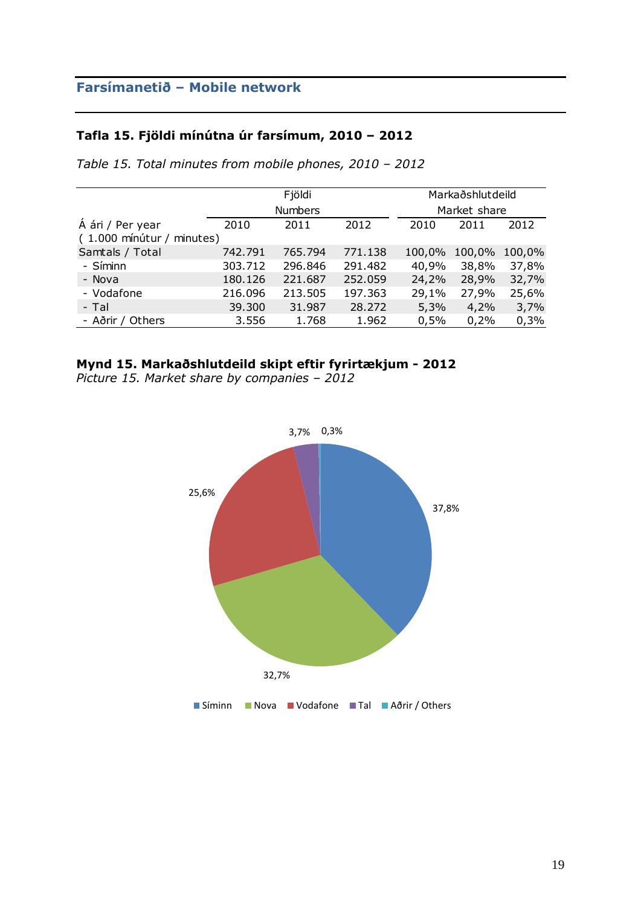### **Tafla 15. Fjöldi mínútna úr farsímum, 2010 – 2012**

|                           |                | Fjöldi  |         | Markaðshlutdeild |              |        |  |  |
|---------------------------|----------------|---------|---------|------------------|--------------|--------|--|--|
|                           | <b>Numbers</b> |         |         |                  | Market share |        |  |  |
| Á ári / Per year          | 2010           | 2011    | 2012    | 2010             | 2011         | 2012   |  |  |
| (1.000 mínútur / minutes) |                |         |         |                  |              |        |  |  |
| Samtals / Total           | 742.791        | 765.794 | 771.138 | 100,0%           | 100,0%       | 100,0% |  |  |
| - Síminn                  | 303.712        | 296.846 | 291.482 | 40,9%            | 38,8%        | 37,8%  |  |  |
| - Nova                    | 180.126        | 221.687 | 252.059 | 24,2%            | 28,9%        | 32,7%  |  |  |
| - Vodafone                | 216.096        | 213.505 | 197.363 | 29,1%            | 27,9%        | 25,6%  |  |  |
| - Tal                     | 39.300         | 31.987  | 28.272  | 5,3%             | 4,2%         | 3,7%   |  |  |
| - Aðrir / Others          | 3.556          | 1.768   | 1.962   | 0,5%             | 0,2%         | 0,3%   |  |  |

*Table 15. Total minutes from mobile phones, 2010 – 2012*

## **Mynd 15. Markaðshlutdeild skipt eftir fyrirtækjum - 2012**

*Picture 15. Market share by companies – 2012* 

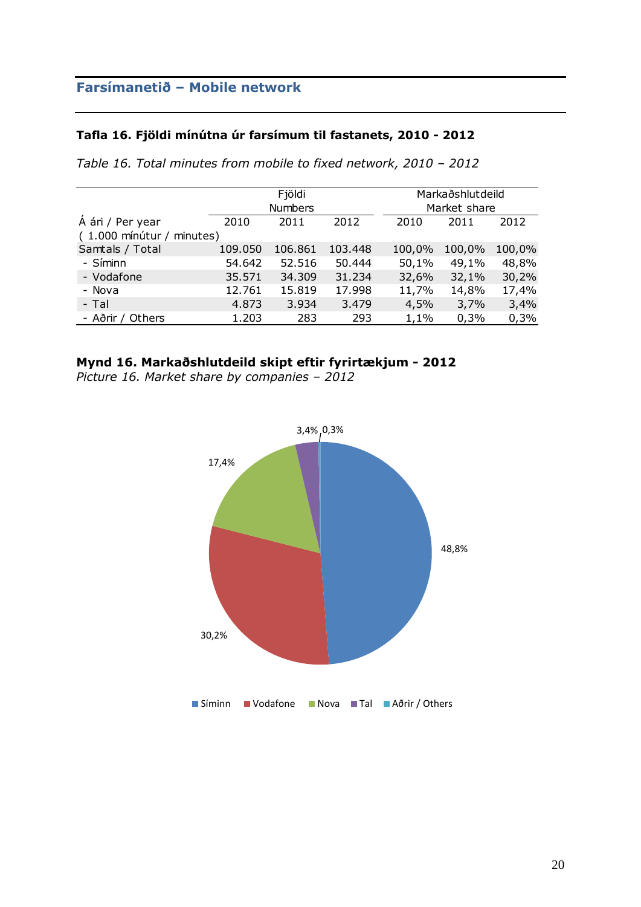### **Tafla 16. Fjöldi mínútna úr farsímum til fastanets, 2010 - 2012**

*Table 16. Total minutes from mobile to fixed network, 2010 – 2012*

|                           |         | Fjöldi         |         |        | Markaðshlutdeild |        |  |
|---------------------------|---------|----------------|---------|--------|------------------|--------|--|
|                           |         | <b>Numbers</b> |         |        | Market share     |        |  |
| Á ári / Per year          | 2010    | 2011           | 2012    | 2010   | 2011             | 2012   |  |
| (1.000 mínútur / minutes) |         |                |         |        |                  |        |  |
| Samtals / Total           | 109.050 | 106.861        | 103.448 | 100,0% | 100,0%           | 100,0% |  |
| - Síminn                  | 54.642  | 52.516         | 50.444  | 50,1%  | 49,1%            | 48,8%  |  |
| - Vodafone                | 35.571  | 34.309         | 31.234  | 32,6%  | 32,1%            | 30,2%  |  |
| - Nova                    | 12.761  | 15.819         | 17.998  | 11,7%  | 14,8%            | 17,4%  |  |
| - Tal                     | 4.873   | 3.934          | 3.479   | 4,5%   | 3,7%             | 3,4%   |  |
| - Aðrir / Others          | 1.203   | 283            | 293     | 1,1%   | 0,3%             | 0,3%   |  |

#### **Mynd 16. Markaðshlutdeild skipt eftir fyrirtækjum - 2012**

*Picture 16. Market share by companies – 2012*

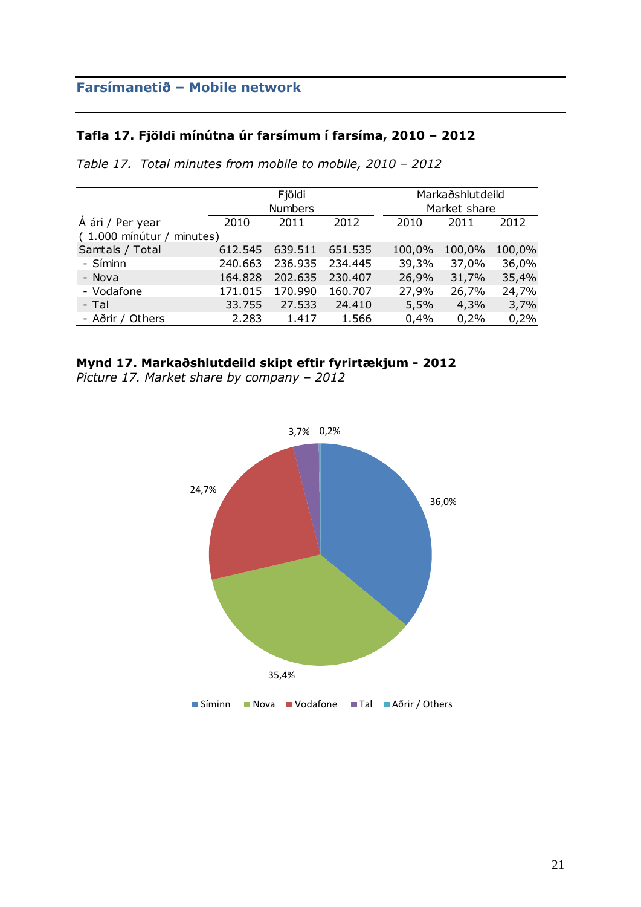### **Tafla 17. Fjöldi mínútna úr farsímum í farsíma, 2010 – 2012**

|                           |         | Fjöldi         |         |        | Markaðshlutdeild |        |  |  |
|---------------------------|---------|----------------|---------|--------|------------------|--------|--|--|
|                           |         | <b>Numbers</b> |         |        | Market share     |        |  |  |
| Á ári / Per year          | 2010    | 2011           | 2012    | 2010   | 2011             | 2012   |  |  |
| (1.000 mínútur / minutes) |         |                |         |        |                  |        |  |  |
| Samtals / Total           | 612.545 | 639.511        | 651.535 | 100,0% | 100,0%           | 100,0% |  |  |
| - Síminn                  | 240.663 | 236.935        | 234.445 | 39,3%  | 37,0%            | 36,0%  |  |  |
| - Nova                    | 164.828 | 202.635        | 230.407 | 26,9%  | 31,7%            | 35,4%  |  |  |
| - Vodafone                | 171.015 | 170.990        | 160.707 | 27,9%  | 26,7%            | 24,7%  |  |  |
| - Tal                     | 33.755  | 27.533         | 24.410  | 5,5%   | 4,3%             | 3,7%   |  |  |
| - Aðrir / Others          | 2.283   | 1.417          | 1.566   | 0,4%   | 0,2%             | 0,2%   |  |  |

*Table 17. Total minutes from mobile to mobile, 2010 – 2012*

#### **Mynd 17. Markaðshlutdeild skipt eftir fyrirtækjum - 2012**

*Picture 17. Market share by company – 2012*

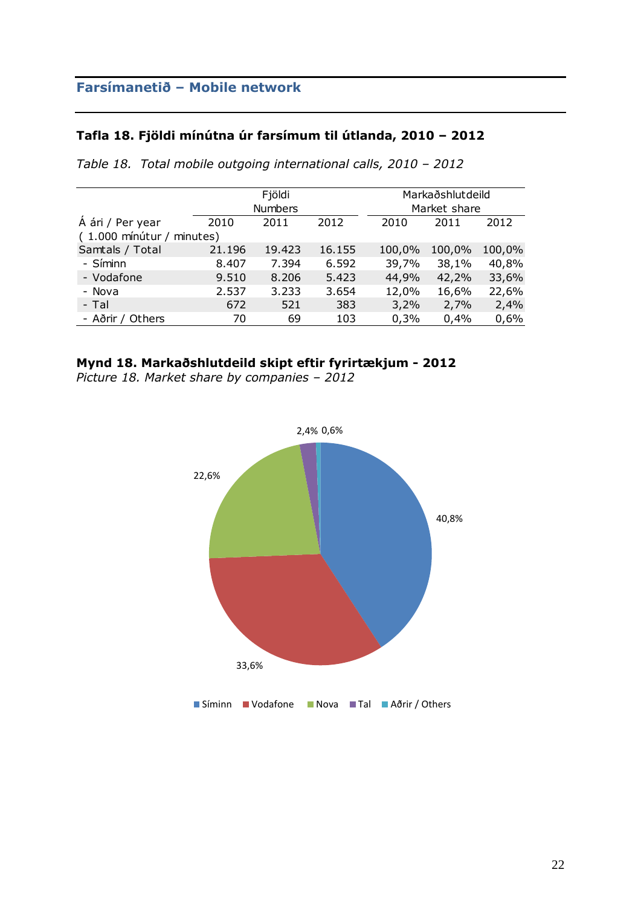### **Tafla 18. Fjöldi mínútna úr farsímum til útlanda, 2010 – 2012**

|                           |        | Fjöldi                         |        |        | Markaðshlutdeild |        |  |  |
|---------------------------|--------|--------------------------------|--------|--------|------------------|--------|--|--|
|                           |        | <b>Numbers</b><br>Market share |        |        |                  |        |  |  |
| Á ári / Per year          | 2010   | 2011                           | 2012   | 2010   | 2011             | 2012   |  |  |
| (1.000 mínútur / minutes) |        |                                |        |        |                  |        |  |  |
| Samtals / Total           | 21.196 | 19.423                         | 16.155 | 100,0% | 100,0%           | 100,0% |  |  |
| - Síminn                  | 8.407  | 7.394                          | 6.592  | 39,7%  | 38,1%            | 40,8%  |  |  |
| - Vodafone                | 9.510  | 8.206                          | 5.423  | 44,9%  | 42,2%            | 33,6%  |  |  |
| - Nova                    | 2.537  | 3.233                          | 3.654  | 12,0%  | 16,6%            | 22,6%  |  |  |
| - Tal                     | 672    | 521                            | 383    | 3,2%   | 2,7%             | 2,4%   |  |  |
| - Aðrir / Others          | 70     | 69                             | 103    | 0,3%   | 0,4%             | 0,6%   |  |  |

*Table 18. Total mobile outgoing international calls, 2010 – 2012*

#### **Mynd 18. Markaðshlutdeild skipt eftir fyrirtækjum - 2012**

*Picture 18. Market share by companies – 2012*

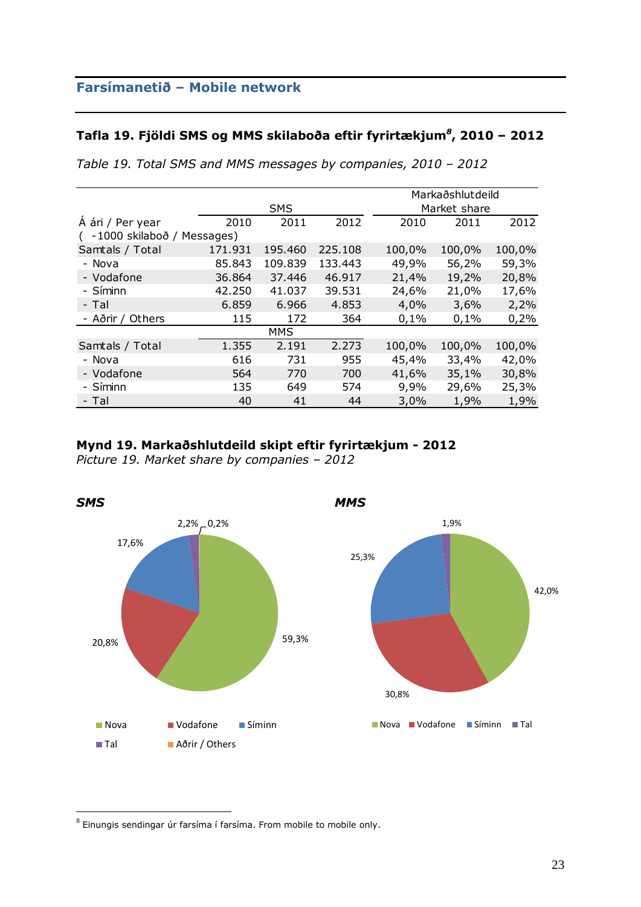#### **Tafla 19. Fjöldi SMS og MMS skilaboða eftir fyrirtækjum***<sup>8</sup>* **, 2010 – 2012**

|                            |         |            |         |        | Markaðshlutdeild |        |  |  |
|----------------------------|---------|------------|---------|--------|------------------|--------|--|--|
|                            |         | <b>SMS</b> |         |        | Market share     |        |  |  |
| Á ári / Per year           | 2010    | 2011       | 2012    | 2010   | 2011             | 2012   |  |  |
| -1000 skilaboð / Messages) |         |            |         |        |                  |        |  |  |
| Samtals / Total            | 171.931 | 195.460    | 225.108 | 100,0% | 100,0%           | 100,0% |  |  |
| - Nova                     | 85.843  | 109.839    | 133.443 | 49,9%  | 56,2%            | 59,3%  |  |  |
| - Vodafone                 | 36.864  | 37.446     | 46.917  | 21,4%  | 19,2%            | 20,8%  |  |  |
| - Síminn                   | 42.250  | 41.037     | 39.531  | 24,6%  | 21,0%            | 17,6%  |  |  |
| - Tal                      | 6.859   | 6.966      | 4.853   | 4,0%   | 3,6%             | 2,2%   |  |  |
| - Aðrir / Others           | 115     | 172        | 364     | 0,1%   | 0,1%             | 0,2%   |  |  |
|                            |         | <b>MMS</b> |         |        |                  |        |  |  |
| Samtals / Total            | 1.355   | 2.191      | 2.273   | 100,0% | 100,0%           | 100,0% |  |  |
| - Nova                     | 616     | 731        | 955     | 45,4%  | 33,4%            | 42,0%  |  |  |
| - Vodafone                 | 564     | 770        | 700     | 41,6%  | 35,1%            | 30,8%  |  |  |
| - Síminn                   | 135     | 649        | 574     | 9,9%   | 29,6%            | 25,3%  |  |  |
| - Tal                      | 40      | 41         | 44      | 3,0%   | 1,9%             | 1,9%   |  |  |

*Table 19. Total SMS and MMS messages by companies, 2010 – 2012*

### **Mynd 19. Markaðshlutdeild skipt eftir fyrirtækjum - 2012**

*Picture 19. Market share by companies – 2012*



 $^8$  Einungis sendingar úr farsíma í farsíma. From mobile to mobile only.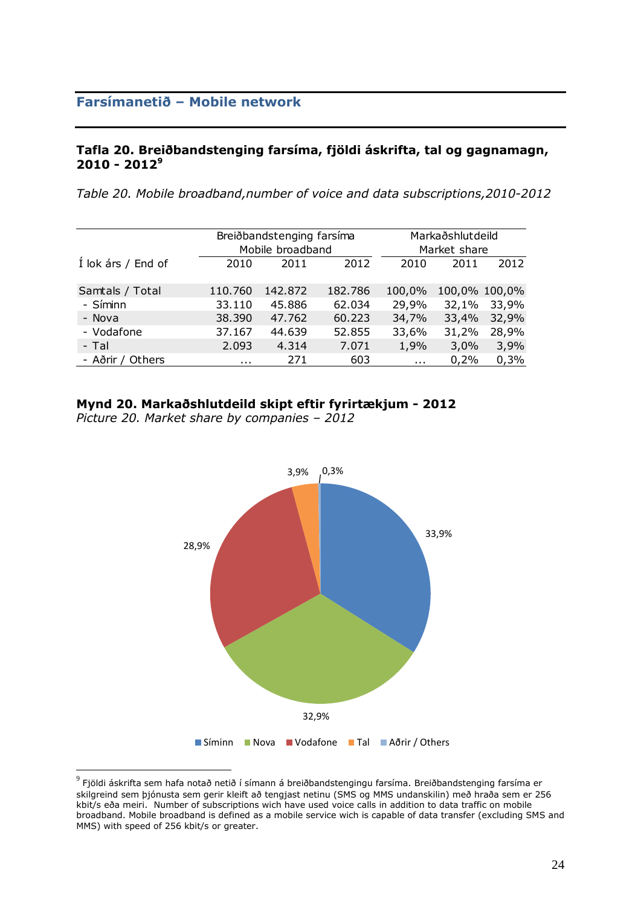#### **Tafla 20. Breiðbandstenging farsíma, fjöldi áskrifta, tal og gagnamagn, 2010 - 2012 9**

*Table 20. Mobile broadband,number of voice and data subscriptions,2010-2012*

|                    |          | Breiðbandstenging farsíma |         |            | Markaðshlutdeild |               |  |  |
|--------------------|----------|---------------------------|---------|------------|------------------|---------------|--|--|
|                    |          | Mobile broadband          |         |            | Market share     |               |  |  |
| Í lok árs / End of | 2010     | 2011                      | 2012    | 2010       | 2011             | 2012          |  |  |
|                    |          |                           |         |            |                  |               |  |  |
| Samtals / Total    | 110.760  | 142.872                   | 182.786 | 100,0%     |                  | 100,0% 100,0% |  |  |
| - Síminn           | 33.110   | 45.886                    | 62.034  | 29,9%      | 32,1%            | 33,9%         |  |  |
| - Nova             | 38.390   | 47.762                    | 60.223  | 34,7%      | 33,4%            | 32,9%         |  |  |
| - Vodafone         | 37.167   | 44.639                    | 52.855  | 33,6%      | 31,2%            | 28,9%         |  |  |
| - Tal              | 2.093    | 4.314                     | 7.071   | 1,9%       | 3,0%             | 3,9%          |  |  |
| - Aðrir / Others   | $\cdots$ | 271                       | 603     | $\sim 100$ | 0,2%             | 0,3%          |  |  |

#### **Mynd 20. Markaðshlutdeild skipt eftir fyrirtækjum - 2012**

*Picture 20. Market share by companies – 2012*



 $^9$  Fjöldi áskrifta sem hafa notað netið í símann á breiðbandstengingu farsíma. Breiðbandstenging farsíma er skilgreind sem þjónusta sem gerir kleift að tengjast netinu (SMS og MMS undanskilin) með hraða sem er 256 kbit/s eða meiri. Number of subscriptions wich have used voice calls in addition to data traffic on mobile broadband. Mobile broadband is defined as a mobile service wich is capable of data transfer (excluding SMS and MMS) with speed of 256 kbit/s or greater.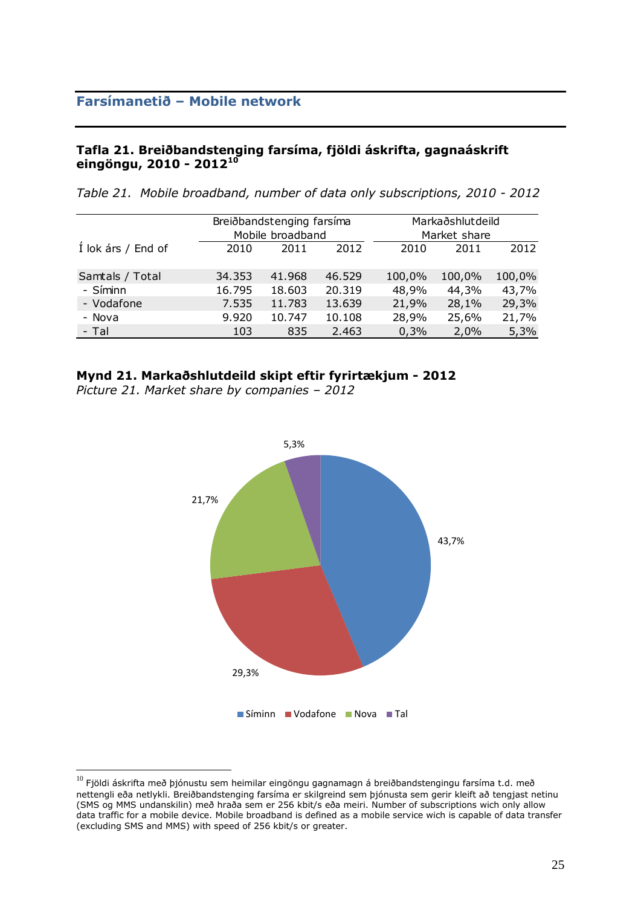#### **Tafla 21. Breiðbandstenging farsíma, fjöldi áskrifta, gagnaáskrift eingöngu, 2010 - 2012 10**

*Table 21. Mobile broadband, number of data only subscriptions, 2010 - 2012*

|                    |        | Breiðbandstenging farsíma |        |        | Markaðshlutdeild |        |  |  |
|--------------------|--------|---------------------------|--------|--------|------------------|--------|--|--|
|                    |        | Mobile broadband          |        |        | Market share     |        |  |  |
| Í lok árs / End of | 2010   | 2011                      | 2012   | 2010   | 2011             | 2012   |  |  |
|                    |        |                           |        |        |                  |        |  |  |
| Samtals / Total    | 34.353 | 41.968                    | 46.529 | 100,0% | 100,0%           | 100,0% |  |  |
| - Síminn           | 16.795 | 18.603                    | 20.319 | 48,9%  | 44,3%            | 43,7%  |  |  |
| - Vodafone         | 7.535  | 11.783                    | 13.639 | 21,9%  | 28,1%            | 29,3%  |  |  |
| - Nova             | 9.920  | 10.747                    | 10.108 | 28,9%  | 25,6%            | 21,7%  |  |  |
| - Tal              | 103    | 835                       | 2.463  | 0,3%   | 2,0%             | 5,3%   |  |  |

#### **Mynd 21. Markaðshlutdeild skipt eftir fyrirtækjum - 2012**

*Picture 21. Market share by companies – 2012*



 $^{10}$  Fiöldi áskrifta með þjónustu sem heimilar eingöngu gagnamagn á breiðbandstengingu farsíma t.d. með nettengli eða netlykli. Breiðbandstenging farsíma er skilgreind sem þjónusta sem gerir kleift að tengjast netinu (SMS og MMS undanskilin) með hraða sem er 256 kbit/s eða meiri. Number of subscriptions wich only allow data traffic for a mobile device. Mobile broadband is defined as a mobile service wich is capable of data transfer (excluding SMS and MMS) with speed of 256 kbit/s or greater.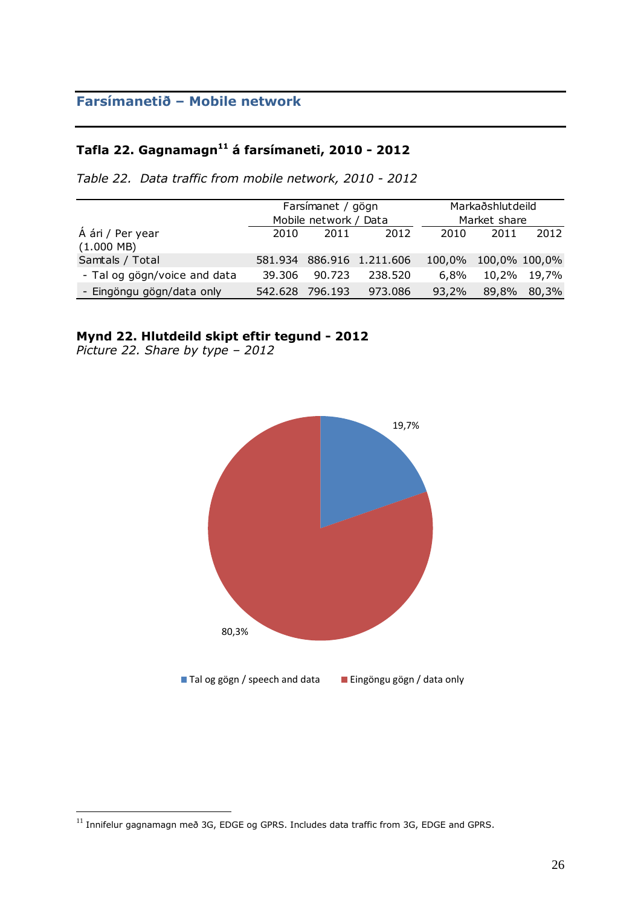# **Tafla 22. Gagnamagn<sup>11</sup> á farsímaneti, 2010 - 2012**

*Table 22. Data traffic from mobile network, 2010 - 2012*

|                                          |         | Farsímanet / gögn     |                   | Markaðshlutdeild |                      |       |  |
|------------------------------------------|---------|-----------------------|-------------------|------------------|----------------------|-------|--|
|                                          |         | Mobile network / Data |                   |                  | Market share         |       |  |
| Á ári / Per year<br>$(1.000 \text{ MB})$ | 2010    | 2011                  | 2012              | 2010             | 2011                 | 2012  |  |
| Samtals / Total                          | 581.934 |                       | 886.916 1.211.606 |                  | 100,0% 100,0% 100,0% |       |  |
| - Tal og gögn/voice and data             | 39.306  | 90.723                | 238.520           | $6.8\%$          | 10,2%                | 19,7% |  |
| - Eingöngu gögn/data only                | 542.628 | 796.193               | 973.086           | 93,2%            | 89,8%                | 80,3% |  |

### **Mynd 22. Hlutdeild skipt eftir tegund - 2012**

*Picture 22. Share by type – 2012*



 $^{11}$  Innifelur gagnamagn með 3G, EDGE og GPRS. Includes data traffic from 3G, EDGE and GPRS.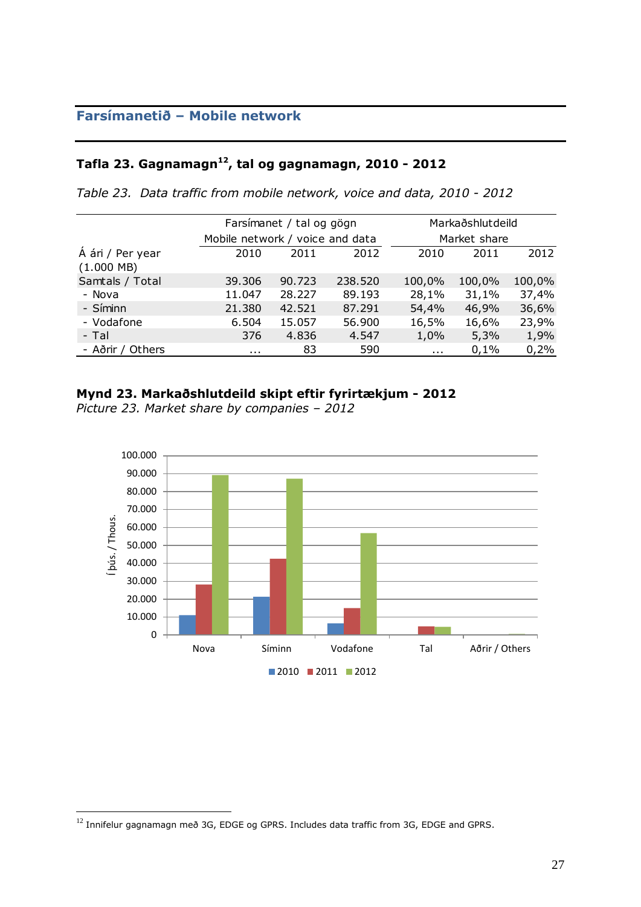## **Tafla 23. Gagnamagn<sup>12</sup>, tal og gagnamagn, 2010 - 2012**

*Table 23. Data traffic from mobile network, voice and data, 2010 - 2012*

|                                          |                                 | Farsímanet / tal og gögn |         |          | Markaðshlutdeild |        |  |  |
|------------------------------------------|---------------------------------|--------------------------|---------|----------|------------------|--------|--|--|
|                                          | Mobile network / voice and data |                          |         |          | Market share     |        |  |  |
| Á ári / Per year<br>$(1.000 \text{ MB})$ | 2010                            | 2011                     | 2012    | 2010     | 2011             | 2012   |  |  |
| Samtals / Total                          | 39.306                          | 90.723                   | 238.520 | 100,0%   | 100,0%           | 100,0% |  |  |
| - Nova                                   | 11.047                          | 28.227                   | 89.193  | 28,1%    | 31,1%            | 37,4%  |  |  |
| - Síminn                                 | 21.380                          | 42.521                   | 87.291  | 54,4%    | 46,9%            | 36,6%  |  |  |
| - Vodafone                               | 6.504                           | 15.057                   | 56.900  | 16,5%    | 16,6%            | 23,9%  |  |  |
| - Tal                                    | 376                             | 4.836                    | 4.547   | 1,0%     | 5,3%             | 1,9%   |  |  |
| - Aðrir / Others                         | $\cdots$                        | 83                       | 590     | $\cdots$ | 0,1%             | 0,2%   |  |  |

#### **Mynd 23. Markaðshlutdeild skipt eftir fyrirtækjum - 2012**

*Picture 23. Market share by companies – 2012*



 $^{12}$  Innifelur gagnamagn með 3G, EDGE og GPRS. Includes data traffic from 3G, EDGE and GPRS.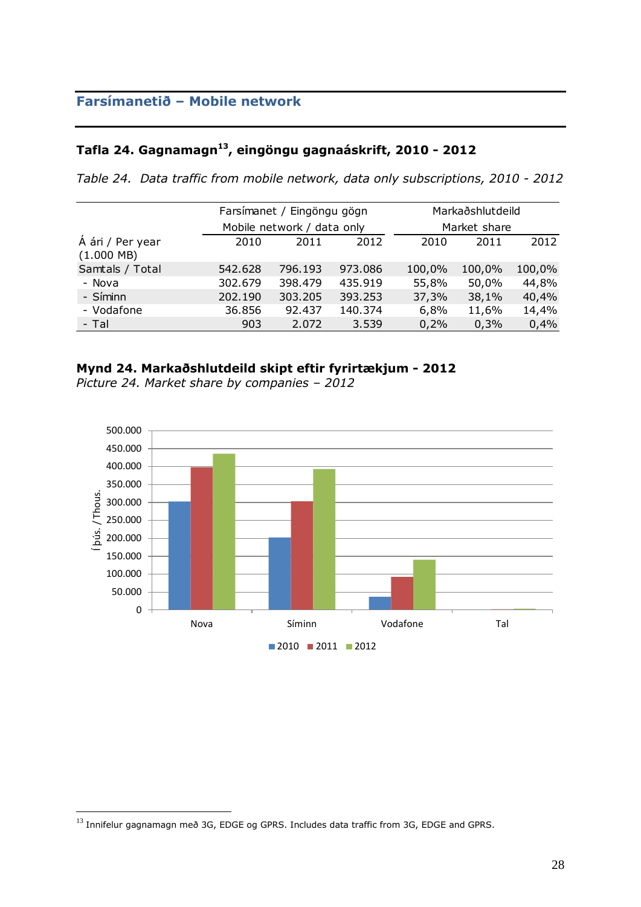# **Tafla 24. Gagnamagn<sup>13</sup>, eingöngu gagnaáskrift, 2010 - 2012**

*Table 24. Data traffic from mobile network, data only subscriptions, 2010 - 2012*

|                                  |         | Farsímanet / Eingöngu gögn |         |        | Markaðshlutdeild |        |
|----------------------------------|---------|----------------------------|---------|--------|------------------|--------|
|                                  |         | Mobile network / data only |         |        | Market share     |        |
| Á ári / Per year<br>$(1.000$ MB) | 2010    | 2011                       | 2012    | 2010   | 2011             | 2012   |
| Samtals / Total                  | 542.628 | 796.193                    | 973.086 | 100,0% | 100,0%           | 100,0% |
| - Nova                           | 302.679 | 398,479                    | 435.919 | 55,8%  | 50,0%            | 44,8%  |
| - Síminn                         | 202.190 | 303.205                    | 393.253 | 37,3%  | 38,1%            | 40,4%  |
| - Vodafone                       | 36.856  | 92.437                     | 140.374 | 6,8%   | 11,6%            | 14,4%  |
| - Tal                            | 903     | 2.072                      | 3.539   | 0,2%   | 0,3%             | 0,4%   |

#### **Mynd 24. Markaðshlutdeild skipt eftir fyrirtækjum - 2012**

*Picture 24. Market share by companies – 2012*



 $^{13}$  Innifelur gagnamagn með 3G, EDGE og GPRS. Includes data traffic from 3G, EDGE and GPRS.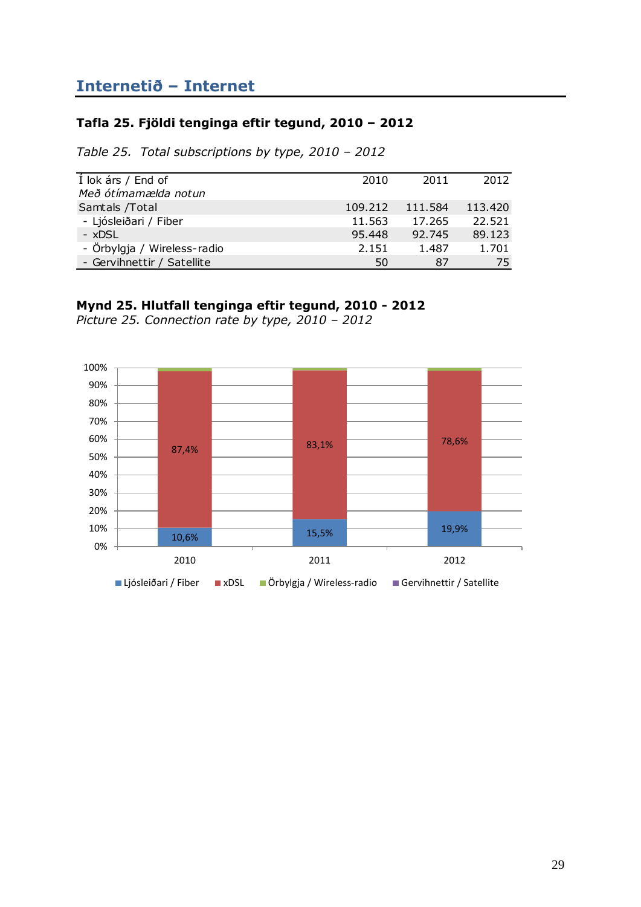### <span id="page-28-0"></span>**Tafla 25. Fjöldi tenginga eftir tegund, 2010 – 2012**

*Table 25. Total subscriptions by type, 2010 – 2012*

| Í lok árs / End of          | 2010    | 2011    | 2012    |
|-----------------------------|---------|---------|---------|
| Með ótímamælda notun        |         |         |         |
| Samtals / Total             | 109.212 | 111.584 | 113.420 |
| - Ljósleiðari / Fiber       | 11.563  | 17.265  | 22.521  |
| $-$ xDSL                    | 95.448  | 92.745  | 89.123  |
| - Örbylgja / Wireless-radio | 2.151   | 1.487   | 1.701   |
| - Gervihnettir / Satellite  | 50      | 87      | 75      |

### **Mynd 25. Hlutfall tenginga eftir tegund, 2010 - 2012**

*Picture 25. Connection rate by type, 2010 – 2012*

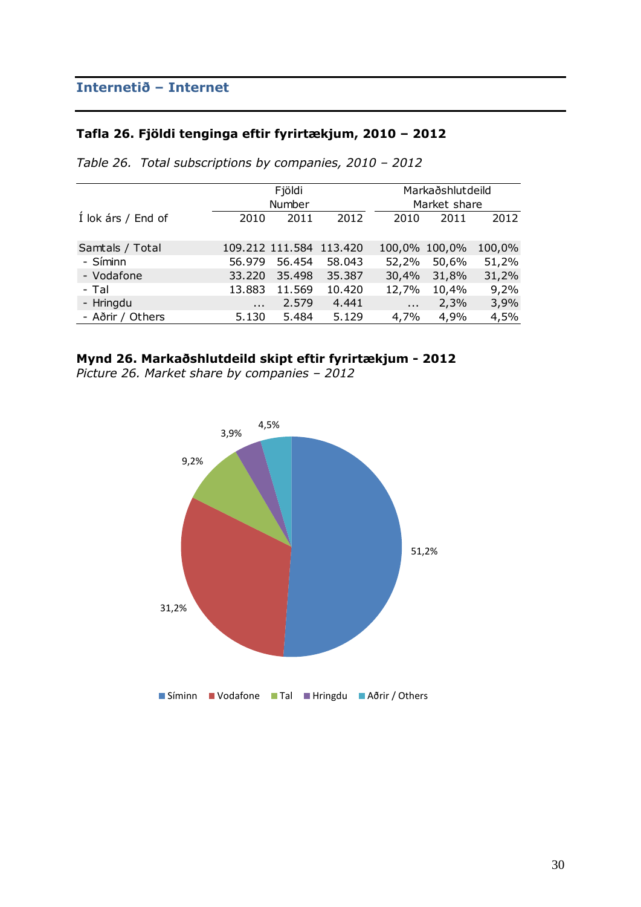### **Tafla 26. Fjöldi tenginga eftir fyrirtækjum, 2010 – 2012**

|                    |          | Fjöldi          |         |            | Markaðshlutdeild |        |
|--------------------|----------|-----------------|---------|------------|------------------|--------|
|                    |          | Number          |         |            | Market share     |        |
| Í lok árs / End of | 2010     | 2011            | 2012    | 2010       | 2011             | 2012   |
| Samtals / Total    |          | 109.212 111.584 | 113.420 |            | 100,0% 100,0%    | 100,0% |
| - Síminn           | 56.979   | 56.454          | 58.043  | 52,2%      | 50,6%            | 51,2%  |
| - Vodafone         | 33.220   | 35.498          | 35.387  | 30,4%      | 31,8%            | 31,2%  |
| - Tal              | 13.883   | 11.569          | 10.420  | 12,7%      | 10,4%            | 9,2%   |
| - Hringdu          | $\cdots$ | 2.579           | 4.441   | $\sim 100$ | 2,3%             | 3,9%   |
| - Aðrir / Others   | 5.130    | 5.484           | 5.129   | 4,7%       | 4,9%             | 4,5%   |

*Table 26. Total subscriptions by companies, 2010 – 2012*

## **Mynd 26. Markaðshlutdeild skipt eftir fyrirtækjum - 2012**

*Picture 26. Market share by companies – 2012*

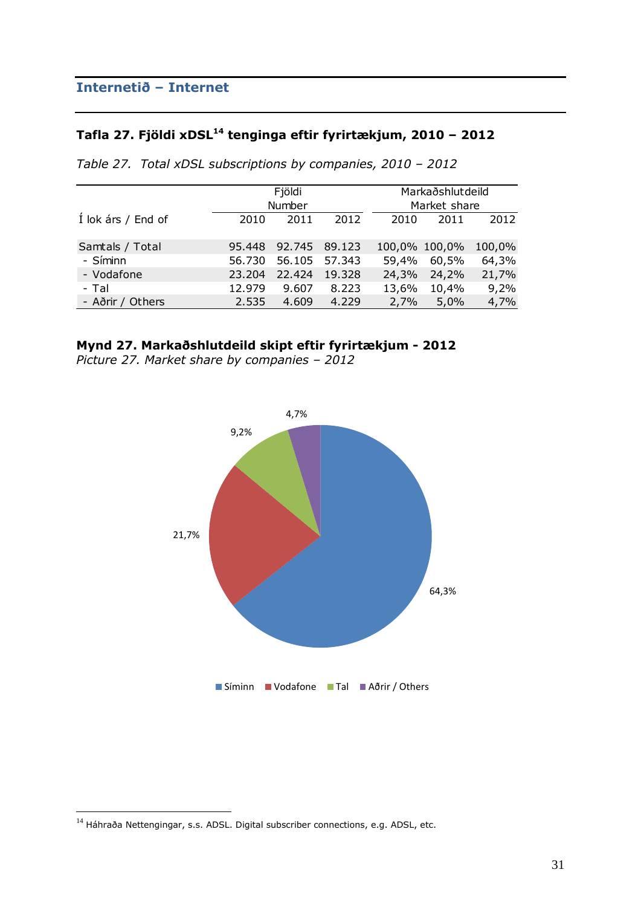# **Tafla 27. Fjöldi xDSL<sup>14</sup> tenginga eftir fyrirtækjum, 2010 – 2012**

|                    | Fjöldi |        |        |       | Markaðshlutdeild |        |
|--------------------|--------|--------|--------|-------|------------------|--------|
|                    |        | Number |        |       | Market share     |        |
| Í lok árs / End of | 2010   | 2011   | 2012   | 2010  | 2011             | 2012   |
|                    |        |        |        |       |                  |        |
| Samtals / Total    | 95.448 | 92.745 | 89.123 |       | 100,0% 100,0%    | 100,0% |
| - Síminn           | 56.730 | 56.105 | 57.343 | 59,4% | 60,5%            | 64,3%  |
| - Vodafone         | 23.204 | 22,424 | 19.328 | 24,3% | 24,2%            | 21,7%  |
| - Tal              | 12.979 | 9.607  | 8.223  | 13,6% | 10,4%            | 9,2%   |
| - Aðrir / Others   | 2.535  | 4.609  | 4.229  | 2,7%  | 5,0%             | 4,7%   |

*Table 27. Total xDSL subscriptions by companies, 2010 – 2012*

### **Mynd 27. Markaðshlutdeild skipt eftir fyrirtækjum - 2012**

*Picture 27. Market share by companies – 2012*



 $^{14}$  Háhraða Nettengingar, s.s. ADSL. Digital subscriber connections, e.g. ADSL, etc.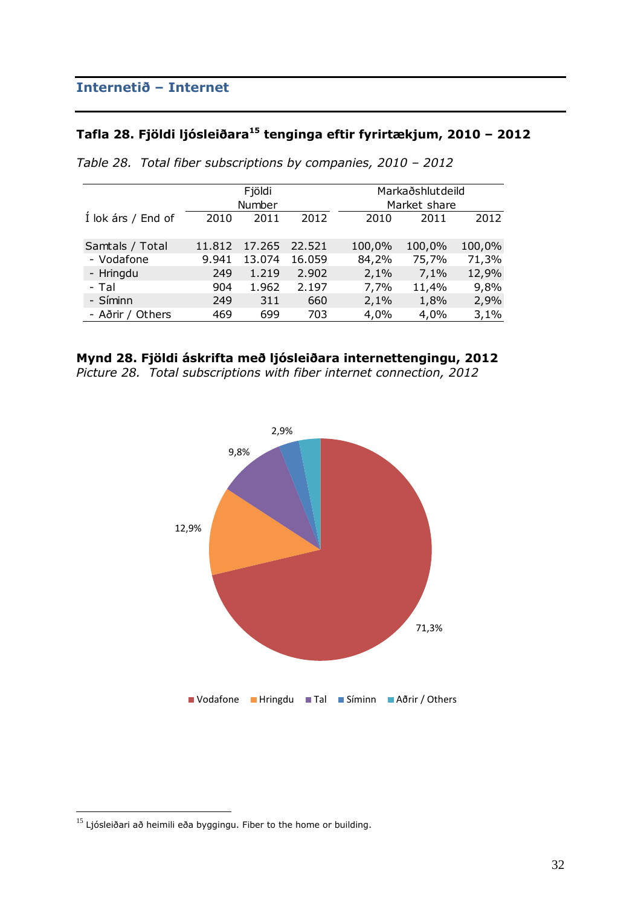# **Tafla 28. Fjöldi ljósleiðara<sup>15</sup> tenginga eftir fyrirtækjum, 2010 – 2012**

|                    | Fjöldi<br>Number |        |        | Markaðshlutdeild<br>Market share |        |        |        |
|--------------------|------------------|--------|--------|----------------------------------|--------|--------|--------|
| Í lok árs / End of | 2010             | 2011   | 2012   |                                  | 2010   | 2011   | 2012   |
| Samtals / Total    | 11.812           | 17.265 | 22.521 |                                  | 100,0% | 100,0% | 100,0% |
| - Vodafone         | 9.941            | 13.074 | 16.059 |                                  | 84,2%  | 75,7%  | 71,3%  |
| - Hringdu          | 249              | 1.219  | 2.902  |                                  | 2,1%   | 7,1%   | 12,9%  |
| - Tal              | 904              | 1.962  | 2.197  |                                  | 7,7%   | 11,4%  | 9,8%   |
| - Síminn           | 249              | 311    | 660    |                                  | 2,1%   | 1,8%   | 2,9%   |
| - Aðrir / Others   | 469              | 699    | 703    |                                  | 4,0%   | 4,0%   | 3,1%   |

*Table 28. Total fiber subscriptions by companies, 2010 – 2012*





 $^{15}$  Ljósleiðari að heimili eða byggingu. Fiber to the home or building.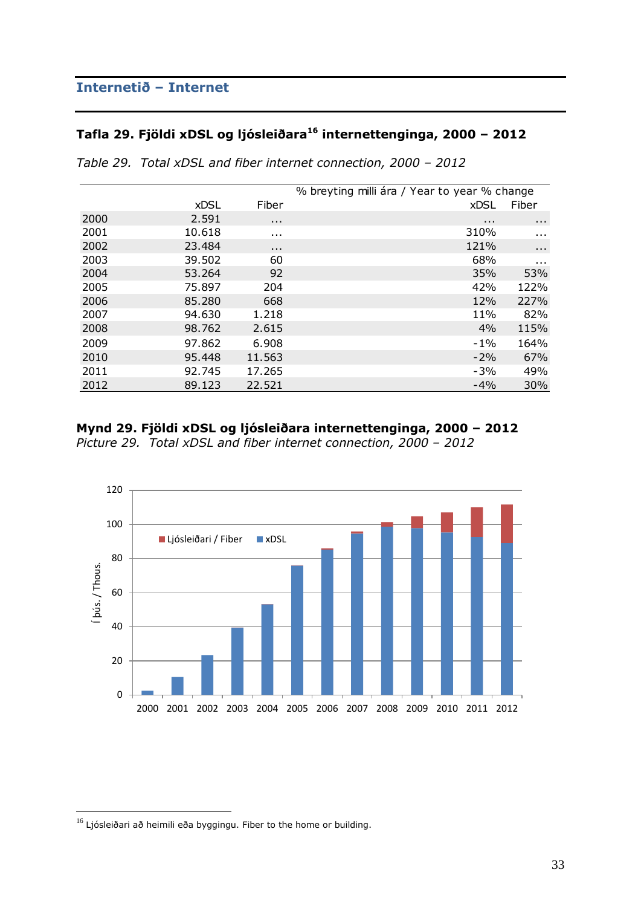# **Tafla 29. Fjöldi xDSL og ljósleiðara<sup>16</sup> internettenginga, 2000 – 2012**

|      |             |                      | % breyting milli ára / Year to year % change |          |
|------|-------------|----------------------|----------------------------------------------|----------|
|      | <b>xDSL</b> | Fiber                | <b>xDSL</b>                                  | Fiber    |
| 2000 | 2.591       | $\sim 100$           | $\cdots$                                     | $\cdots$ |
| 2001 | 10.618      | $\sim 100$           | 310%                                         | $\cdots$ |
| 2002 | 23.484      | $\sim$ $\sim$ $\sim$ | 121%                                         | $\cdots$ |
| 2003 | 39.502      | 60                   | 68%                                          | $\cdots$ |
| 2004 | 53.264      | 92                   | 35%                                          | 53%      |
| 2005 | 75.897      | 204                  | 42%                                          | 122%     |
| 2006 | 85.280      | 668                  | 12%                                          | 227%     |
| 2007 | 94.630      | 1.218                | 11%                                          | 82%      |
| 2008 | 98.762      | 2.615                | 4%                                           | 115%     |
| 2009 | 97.862      | 6.908                | $-1\%$                                       | 164%     |
| 2010 | 95.448      | 11.563               | $-2%$                                        | 67%      |
| 2011 | 92.745      | 17.265               | $-3%$                                        | 49%      |
| 2012 | 89.123      | 22.521               | $-4%$                                        | 30%      |

*Table 29. Total xDSL and fiber internet connection, 2000 – 2012*

#### **Mynd 29. Fjöldi xDSL og ljósleiðara internettenginga, 2000 – 2012**

*Picture 29. Total xDSL and fiber internet connection, 2000 – 2012*



 $^{16}$  Ljósleiðari að heimili eða byggingu. Fiber to the home or building.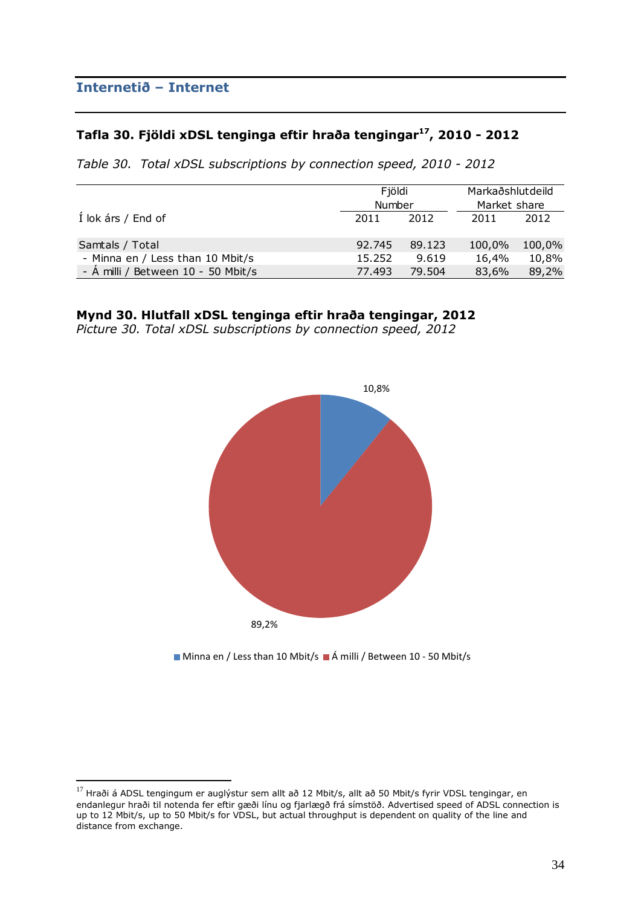$\overline{a}$ 

### **Tafla 30. Fjöldi xDSL tenginga eftir hraða tengingar<sup>17</sup>, 2010 - 2012**

*Table 30. Total xDSL subscriptions by connection speed, 2010 - 2012*

|                                    | Fjöldi<br>Number |        | Markaðshlutdeild<br>Market share |        |  |
|------------------------------------|------------------|--------|----------------------------------|--------|--|
| Í lok árs / End of                 | 2011             | 2012   | 2011                             | 2012   |  |
| Samtals / Total                    | 92.745           | 89.123 | 100,0%                           | 100,0% |  |
| - Minna en / Less than 10 Mbit/s   | 15.252           | 9.619  | 16,4%                            | 10,8%  |  |
| - Á milli / Between 10 - 50 Mbit/s | 77.493           | 79.504 | 83,6%                            | 89,2%  |  |

### **Mynd 30. Hlutfall xDSL tenginga eftir hraða tengingar, 2012**

*Picture 30. Total xDSL subscriptions by connection speed, 2012*



■ Minna en / Less than 10 Mbit/s ■ Á milli / Between 10 - 50 Mbit/s

 $^{17}$  Hraði á ADSL tengingum er auglýstur sem allt að 12 Mbit/s, allt að 50 Mbit/s fyrir VDSL tengingar, en endanlegur hraði til notenda fer eftir gæði línu og fjarlægð frá símstöð. Advertised speed of ADSL connection is up to 12 Mbit/s, up to 50 Mbit/s for VDSL, but actual throughput is dependent on quality of the line and distance from exchange.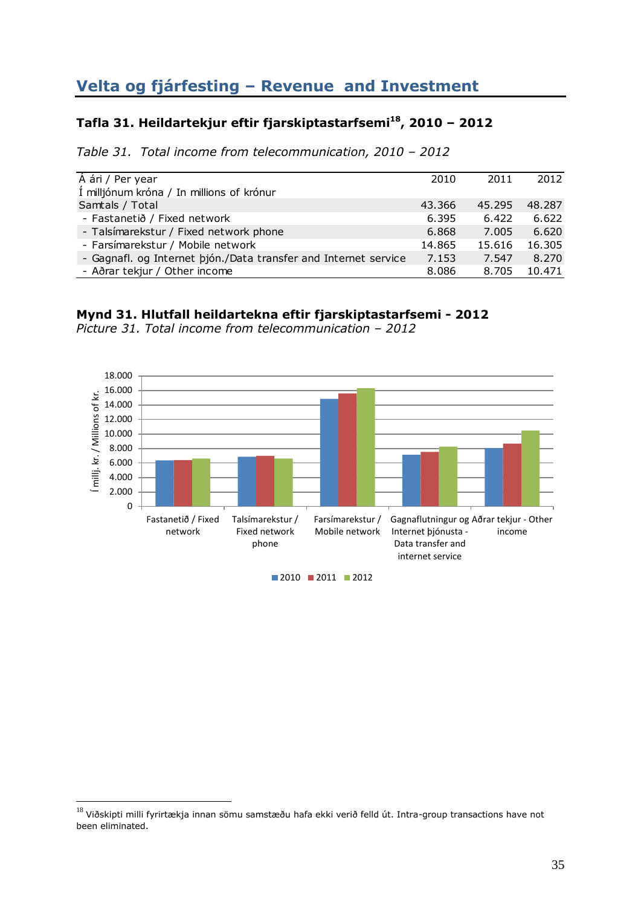# **Velta og fjárfesting – Revenue and Investment**

## **Tafla 31. Heildartekjur eftir fjarskiptastarfsemi<sup>18</sup>, 2010 – 2012**

*Table 31. Total income from telecommunication, 2010 – 2012*

| A ári / Per year                                                | 2010   | 2011   | 2012   |
|-----------------------------------------------------------------|--------|--------|--------|
| Í milljónum króna / In millions of krónur                       |        |        |        |
| Samtals / Total                                                 | 43.366 | 45.295 | 48.287 |
| - Fastanetið / Fixed network                                    | 6.395  | 6.422  | 6.622  |
| - Talsímarekstur / Fixed network phone                          | 6.868  | 7.005  | 6.620  |
| - Farsímarekstur / Mobile network                               | 14.865 | 15.616 | 16.305 |
| - Gagnafl. og Internet þjón./Data transfer and Internet service | 7.153  | 7.547  | 8.270  |
| - Aðrar tekjur / Other income                                   | 8.086  | 8.705  | 10.471 |

### **Mynd 31. Hlutfall heildartekna eftir fjarskiptastarfsemi - 2012**

*Picture 31. Total income from telecommunication – 2012*



 $18$  Viðskipti milli fyrirtækja innan sömu samstæðu hafa ekki verið felld út. Intra-group transactions have not been eliminated.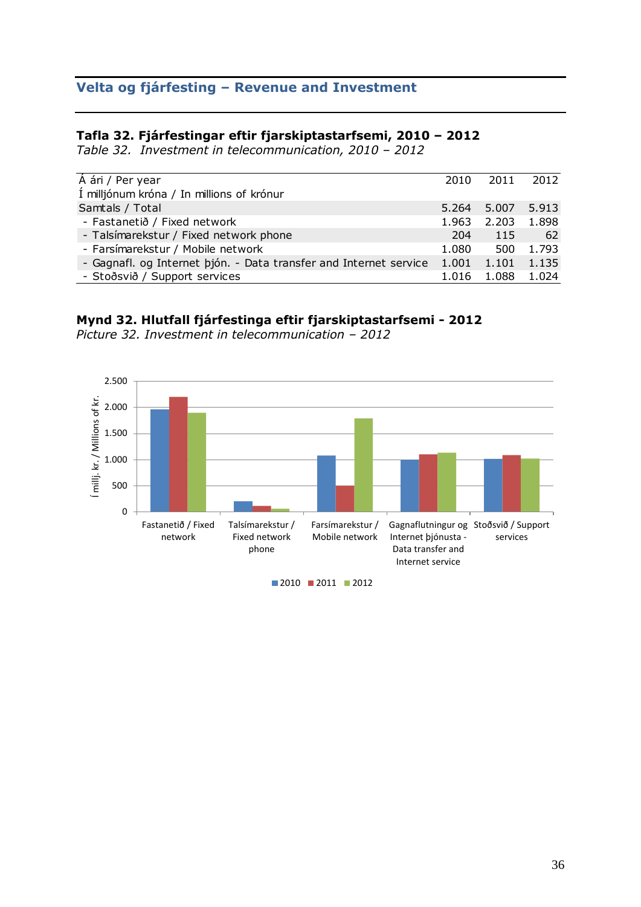## **Velta og fjárfesting – Revenue and Investment**

### **Tafla 32. Fjárfestingar eftir fjarskiptastarfsemi, 2010 – 2012**

*Table 32. Investment in telecommunication, 2010 – 2012*

| $\overline{A}$ ári / Per year                                     | 2010  | 2011        | 2012  |
|-------------------------------------------------------------------|-------|-------------|-------|
| Í milljónum króna / In millions of krónur                         |       |             |       |
| Samtals / Total                                                   |       | 5.264 5.007 | 5.913 |
| - Fastanetið / Fixed network                                      | 1.963 | 2.203       | 1.898 |
| - Talsímarekstur / Fixed network phone                            | 204   | 115         | - 62  |
| - Farsímarekstur / Mobile network                                 | 1.080 | 500         | 1.793 |
| - Gagnafl. og Internet þjón. - Data transfer and Internet service | 1.001 | 1.101       | 1.135 |
| - Stoðsvið / Support services                                     | 1.016 | 1.088       | 1.024 |

# **Mynd 32. Hlutfall fjárfestinga eftir fjarskiptastarfsemi - 2012**

*Picture 32. Investment in telecommunication – 2012*

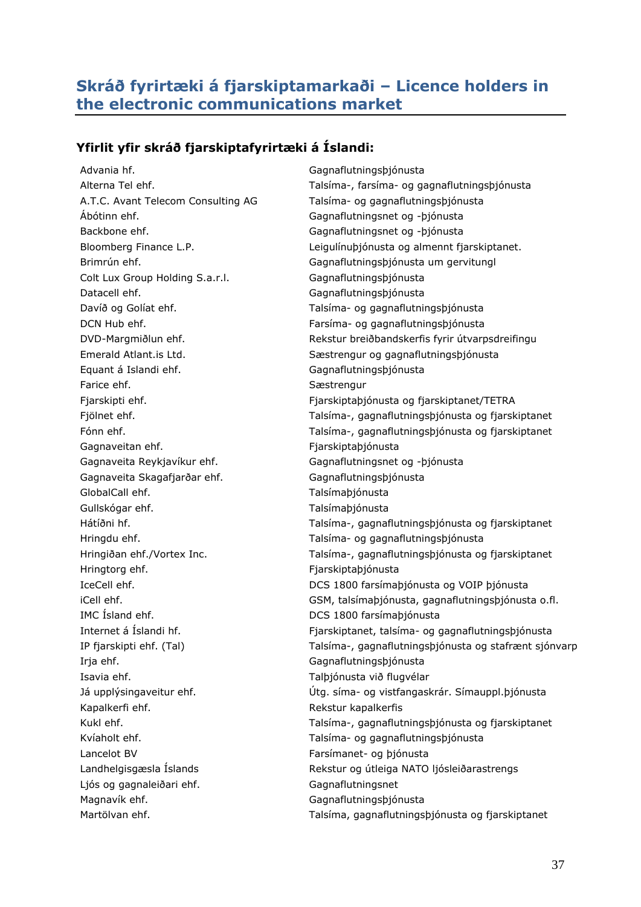# <span id="page-36-0"></span>**Skráð fyrirtæki á fjarskiptamarkaði – Licence holders in the electronic communications market**

## **Yfirlit yfir skráð fjarskiptafyrirtæki á Íslandi:**

Advania hf. **Gagnaflutnings**þjónusta Ábótinn ehf. Gagnaflutningsnet og -þjónusta Backbone ehf. Gagnaflutningsnet og -þjónusta Colt Lux Group Holding S.a.r.l. Gagnaflutningsþjónusta Datacell ehf. Gagnaflutningsþjónusta Equant á Islandi ehf. Gagnaflutningsþjónusta Farice ehf. Sestrengur Gagnaveitan ehf. **Films** Fjarskiptaþjónusta Gagnaveita Reykjavíkur ehf. Gagnaflutningsnet og -þjónusta Gagnaveita Skagafjarðar ehf. Gagnaflutningsþjónusta GlobalCall ehf. Talsímaþjónusta Gullskógar ehf. Talsímabjónusta Hringtorg ehf. Fjarskiptaþjónusta IMC Ísland ehf. **DCS 1800** farsímaþjónusta Irja ehf. Gagnaflutningsþjónusta Isavia ehf. Talþjónusta við flugvélar Kapalkerfi ehf. Kapalkerfis Lancelot BV Farsímanet- og þjónusta Ljós og gagnaleiðari ehf. Gagnaflutningsnet Magnavík ehf. **Gagnaflutnings**þjónusta

Alterna Tel ehf. Talsíma-, farsíma- og gagnaflutningsþjónusta A.T.C. Avant Telecom Consulting AG Talsíma- og gagnaflutningsþjónusta Bloomberg Finance L.P. Leigulínuþjónusta og almennt fjarskiptanet. Brimrún ehf. Gagnaflutningsþjónusta um gervitungl Davíð og Golíat ehf. Talsíma- og gagnaflutningsþjónusta DCN Hub ehf. Farsíma- og gagnaflutningsþjónusta DVD-Margmiðlun ehf. Rekstur breiðbandskerfis fyrir útvarpsdreifingu Emerald Atlant.is Ltd. Sæstrengur og gagnaflutningsþjónusta Fjarskipti ehf. Fjarskiptaþjónusta og fjarskiptanet/TETRA Fjölnet ehf. Talsíma-, gagnaflutningsþjónusta og fjarskiptanet Fónn ehf. Talsíma-, gagnaflutningsþjónusta og fjarskiptanet Hátíðni hf. Talsíma-, gagnaflutningsþjónusta og fjarskiptanet Hringdu ehf. Talsíma- og gagnaflutningsþjónusta Hringiðan ehf./Vortex Inc. Talsíma-, gagnaflutningsþjónusta og fjarskiptanet IceCell ehf. DCS 1800 farsímaþjónusta og VOIP þjónusta iCell ehf. GSM, talsímaþjónusta, gagnaflutningsþjónusta o.fl. Internet á Íslandi hf. Fjarskiptanet, talsíma- og gagnaflutningsþjónusta IP fjarskipti ehf. (Tal) Talsíma-, gagnaflutningsþjónusta og stafrænt sjónvarp Já upplýsingaveitur ehf. Útg. síma- og vistfangaskrár. Símauppl.þjónusta Kukl ehf. Talsíma-, gagnaflutningsþjónusta og fjarskiptanet Kvíaholt ehf. Talsíma- og gagnaflutningsþjónusta Landhelgisgæsla Íslands Rekstur og útleiga NATO ljósleiðarastrengs Martölvan ehf. Talsíma, gagnaflutningsþjónusta og fjarskiptanet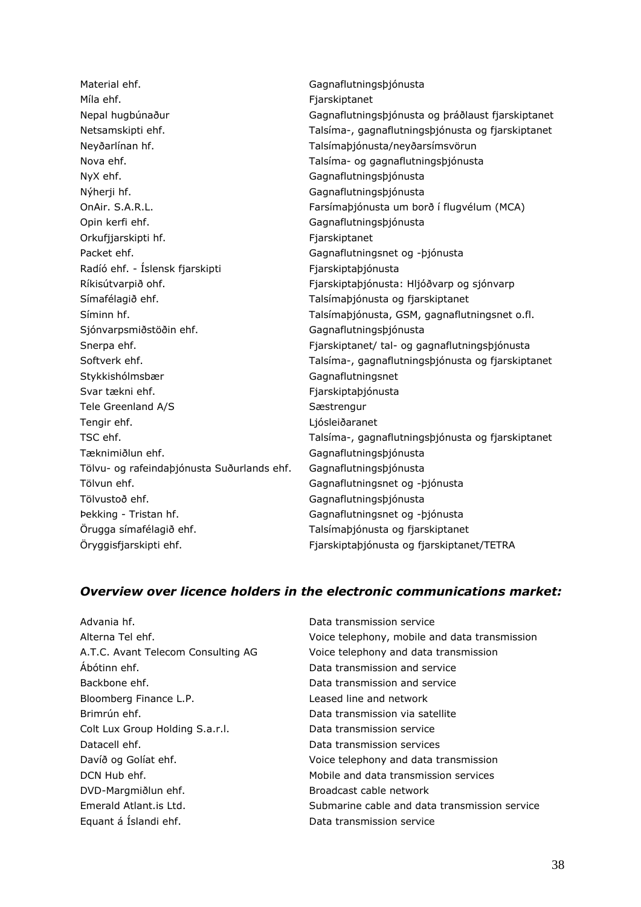Material ehf. Gagnaflutningsþjónusta Míla ehf. **Fjarskiptanet** Neyðarlínan hf. Talsímaþjónusta/neyðarsímsvörun Nova ehf. Talsíma- og gagnaflutningsþjónusta NyX ehf. **Gagnaflutnings**þjónusta Nýherji hf. **Gagnaflutnings**þjónusta OnAir. S.A.R.L. Farsímaþjónusta um borð í flugvélum (MCA) Opin kerfi ehf. Gagnaflutningsþjónusta Orkufjjarskipti hf. Fjarskiptanet Packet ehf. Gagnaflutningsnet og -þjónusta Radíó ehf. - Íslensk fjarskipti Fjarskiptabjónusta Ríkisútvarpið ohf. Til einnar egga er einnar Fjarskiptaþjónusta: Hljóðvarp og sjónvarp Símafélagið ehf. Talsímaþjónusta og fjarskiptanet Síminn hf. Talsímaþjónusta, GSM, gagnaflutningsnet o.fl. Sjónvarpsmiðstöðin ehf. Gagnaflutningsþjónusta Snerpa ehf. Fjarskiptanet/ tal- og gagnaflutningsþjónusta Stykkishólmsbær Gagnaflutningsnet Svar tækni ehf. Fjarskiptaþjónusta Tele Greenland A/S Sæstrengur Tengir ehf. Ljósleiðaranet Tæknimiðlun ehf. **Gagnaflutnings**þjónusta Tölvu- og rafeindaþjónusta Suðurlands ehf. Gagnaflutningsþjónusta Tölvun ehf. Gagnaflutningsnet og -þjónusta Tölvustoð ehf. **Gagnaflutnings**þjónusta Þekking - Tristan hf. Gagnaflutningsnet og -þjónusta Örugga símafélagið ehf. Talsímaþjónusta og fjarskiptanet Öryggisfjarskipti ehf. Fjarskiptaþjónusta og fjarskiptanet/TETRA

Nepal hugbúnaður Gagnaflutningsþjónusta og þráðlaust fjarskiptanet Netsamskipti ehf. Talsíma-, gagnaflutningsþjónusta og fjarskiptanet Softverk ehf. Talsíma-, gagnaflutningsþjónusta og fjarskiptanet TSC ehf. Talsíma-, gagnaflutningsþjónusta og fjarskiptanet

### *Overview over licence holders in the electronic communications market:*

| Advania hf.                        | Data transmission service                     |
|------------------------------------|-----------------------------------------------|
| Alterna Tel ehf.                   | Voice telephony, mobile and data transmission |
| A.T.C. Avant Telecom Consulting AG | Voice telephony and data transmission         |
| Ábótinn ehf.                       | Data transmission and service                 |
| Backbone ehf.                      | Data transmission and service                 |
| Bloomberg Finance L.P.             | Leased line and network                       |
| Brimrún ehf.                       | Data transmission via satellite               |
| Colt Lux Group Holding S.a.r.l.    | Data transmission service                     |
| Datacell ehf.                      | Data transmission services                    |
| Davíð og Golíat ehf.               | Voice telephony and data transmission         |
| DCN Hub ehf.                       | Mobile and data transmission services         |
| DVD-Margmiðlun ehf.                | Broadcast cable network                       |
| Emerald Atlant. is Ltd.            | Submarine cable and data transmission service |
| Equant á Íslandi ehf.              | Data transmission service                     |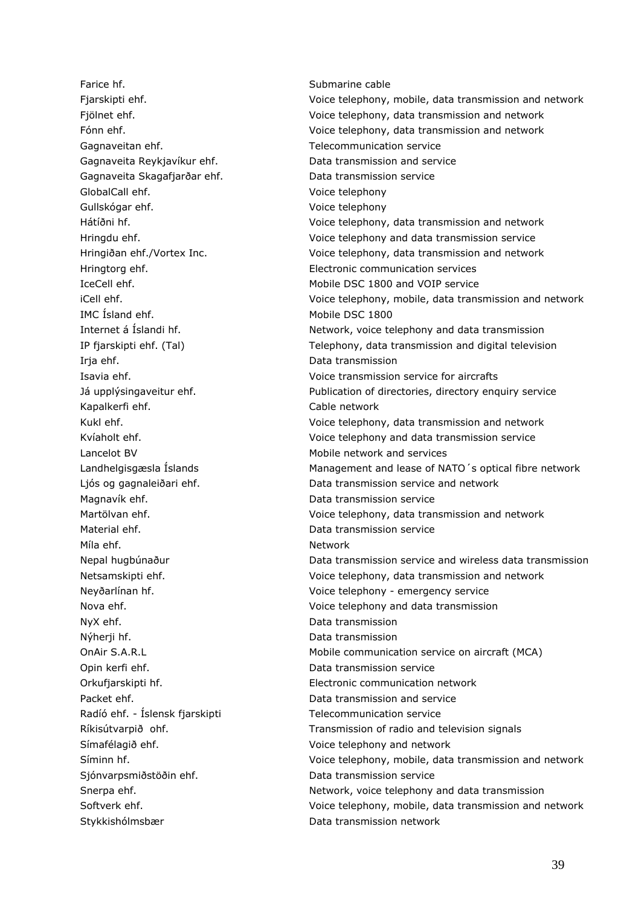Farice hf. Submarine cable Gagnaveitan ehf. Telecommunication service Gagnaveita Reykjavíkur ehf. Data transmission and service Gagnaveita Skagafjarðar ehf. Data transmission service GlobalCall ehf. The Contract of the Contract of Voice telephony Gullskógar ehf. voice telephony IMC Ísland ehf. Mobile DSC 1800 Irja ehf. Data transmission Kapalkerfi ehf. The state of the Cable network Lancelot BV Mobile network and services Magnavík ehf. Data transmission service Material ehf. Data transmission service Míla ehf. Network NyX ehf. Data transmission Nýherji hf. Data transmission Opin kerfi ehf. Data transmission service Packet ehf. Data transmission and service Radíó ehf. - Íslensk fjarskipti Telecommunication service Símafélagið ehf. Voice telephony and network Sjónvarpsmiðstöðin ehf. Data transmission service

Fjarskipti ehf. Voice telephony, mobile, data transmission and network Fjölnet ehf. Voice telephony, data transmission and network Fónn ehf. Voice telephony, data transmission and network Hátíðni hf. Voice telephony, data transmission and network Hringdu ehf. Voice telephony and data transmission service Hringiðan ehf./Vortex Inc. Voice telephony, data transmission and network Hringtorg ehf. Electronic communication services IceCell ehf. Mobile DSC 1800 and VOIP service iCell ehf. Voice telephony, mobile, data transmission and network Internet á Íslandi hf. Network, voice telephony and data transmission IP fjarskipti ehf. (Tal) Telephony, data transmission and digital television Isavia ehf. Voice transmission service for aircrafts Já upplýsingaveitur ehf. Publication of directories, directory enquiry service Kukl ehf. Voice telephony, data transmission and network Kvíaholt ehf. Voice telephony and data transmission service Landhelgisgæsla Íslands **Management and lease of NATO**'s optical fibre network Ljós og gagnaleiðari ehf.  $\overline{\phantom{a}}$  Data transmission service and network Martölvan ehf. Voice telephony, data transmission and network Nepal hugbúnaður Data transmission service and wireless data transmission Netsamskipti ehf. Voice telephony, data transmission and network Neyðarlínan hf. Voice telephony - emergency service Nova ehf. Voice telephony and data transmission OnAir S.A.R.L Mobile communication service on aircraft (MCA) Orkufjarskipti hf. Electronic communication network Ríkisútvarpið ohf. Transmission of radio and television signals Síminn hf. Voice telephony, mobile, data transmission and network Snerpa ehf. Network, voice telephony and data transmission Softverk ehf. Voice telephony, mobile, data transmission and network Stykkishólmsbær Data transmission network